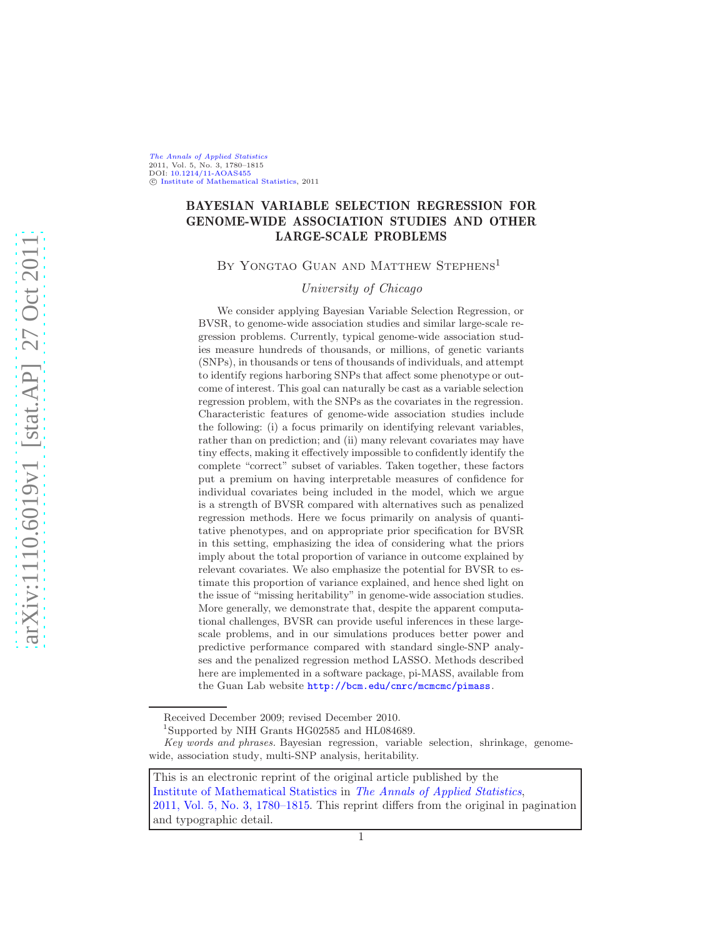[The Annals of Applied Statistics](http://www.imstat.org/aoas/) 2011, Vol. 5, No. 3, 1780–1815 DOI: [10.1214/11-AOAS455](http://dx.doi.org/10.1214/11-AOAS455) C [Institute of Mathematical Statistics,](http://www.imstat.org) 2011

# BAYESIAN VARIABLE SELECTION REGRESSION FOR GENOME-WIDE ASSOCIATION STUDIES AND OTHER LARGE-SCALE PROBLEMS

BY YONGTAO GUAN AND MATTHEW STEPHENS<sup>1</sup>

#### University of Chicago

We consider applying Bayesian Variable Selection Regression, or BVSR, to genome-wide association studies and similar large-scale regression problems. Currently, typical genome-wide association studies measure hundreds of thousands, or millions, of genetic variants (SNPs), in thousands or tens of thousands of individuals, and attempt to identify regions harboring SNPs that affect some phenotype or outcome of interest. This goal can naturally be cast as a variable selection regression problem, with the SNPs as the covariates in the regression. Characteristic features of genome-wide association studies include the following: (i) a focus primarily on identifying relevant variables, rather than on prediction; and (ii) many relevant covariates may have tiny effects, making it effectively impossible to confidently identify the complete "correct" subset of variables. Taken together, these factors put a premium on having interpretable measures of confidence for individual covariates being included in the model, which we argue is a strength of BVSR compared with alternatives such as penalized regression methods. Here we focus primarily on analysis of quantitative phenotypes, and on appropriate prior specification for BVSR in this setting, emphasizing the idea of considering what the priors imply about the total proportion of variance in outcome explained by relevant covariates. We also emphasize the potential for BVSR to estimate this proportion of variance explained, and hence shed light on the issue of "missing heritability" in genome-wide association studies. More generally, we demonstrate that, despite the apparent computational challenges, BVSR can provide useful inferences in these largescale problems, and in our simulations produces better power and predictive performance compared with standard single-SNP analyses and the penalized regression method LASSO. Methods described here are implemented in a software package, pi-MASS, available from the Guan Lab website <http://bcm.edu/cnrc/mcmcmc/pimass>.

This is an electronic reprint of the original article published by the [Institute of Mathematical Statistics](http://www.imstat.org) in [The Annals of Applied Statistics](http://www.imstat.org/aoas/), [2011, Vol. 5, No. 3, 1780–1815.](http://dx.doi.org/10.1214/11-AOAS455) This reprint differs from the original in pagination and typographic detail.

Received December 2009; revised December 2010.

<sup>1</sup> Supported by NIH Grants HG02585 and HL084689.

Key words and phrases. Bayesian regression, variable selection, shrinkage, genomewide, association study, multi-SNP analysis, heritability.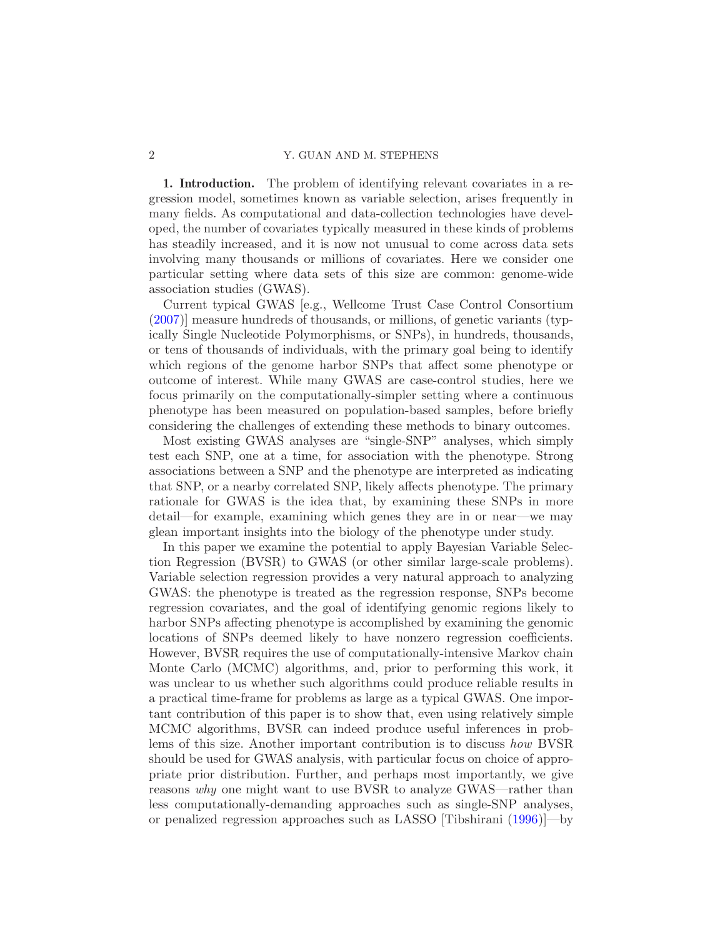1. Introduction. The problem of identifying relevant covariates in a regression model, sometimes known as variable selection, arises frequently in many fields. As computational and data-collection technologies have developed, the number of covariates typically measured in these kinds of problems has steadily increased, and it is now not unusual to come across data sets involving many thousands or millions of covariates. Here we consider one particular setting where data sets of this size are common: genome-wide association studies (GWAS).

Current typical GWAS [e.g., Wellcome Trust Case Control Consortium [\(2007\)](#page-37-0)] measure hundreds of thousands, or millions, of genetic variants (typically Single Nucleotide Polymorphisms, or SNPs), in hundreds, thousands, or tens of thousands of individuals, with the primary goal being to identify which regions of the genome harbor SNPs that affect some phenotype or outcome of interest. While many GWAS are case-control studies, here we focus primarily on the computationally-simpler setting where a continuous phenotype has been measured on population-based samples, before briefly considering the challenges of extending these methods to binary outcomes.

Most existing GWAS analyses are "single-SNP" analyses, which simply test each SNP, one at a time, for association with the phenotype. Strong associations between a SNP and the phenotype are interpreted as indicating that SNP, or a nearby correlated SNP, likely affects phenotype. The primary rationale for GWAS is the idea that, by examining these SNPs in more detail—for example, examining which genes they are in or near—we may glean important insights into the biology of the phenotype under study.

In this paper we examine the potential to apply Bayesian Variable Selection Regression (BVSR) to GWAS (or other similar large-scale problems). Variable selection regression provides a very natural approach to analyzing GWAS: the phenotype is treated as the regression response, SNPs become regression covariates, and the goal of identifying genomic regions likely to harbor SNPs affecting phenotype is accomplished by examining the genomic locations of SNPs deemed likely to have nonzero regression coefficients. However, BVSR requires the use of computationally-intensive Markov chain Monte Carlo (MCMC) algorithms, and, prior to performing this work, it was unclear to us whether such algorithms could produce reliable results in a practical time-frame for problems as large as a typical GWAS. One important contribution of this paper is to show that, even using relatively simple MCMC algorithms, BVSR can indeed produce useful inferences in problems of this size. Another important contribution is to discuss how BVSR should be used for GWAS analysis, with particular focus on choice of appropriate prior distribution. Further, and perhaps most importantly, we give reasons why one might want to use BVSR to analyze GWAS—rather than less computationally-demanding approaches such as single-SNP analyses, or penalized regression approaches such as LASSO [Tibshirani [\(1996](#page-37-1))]—by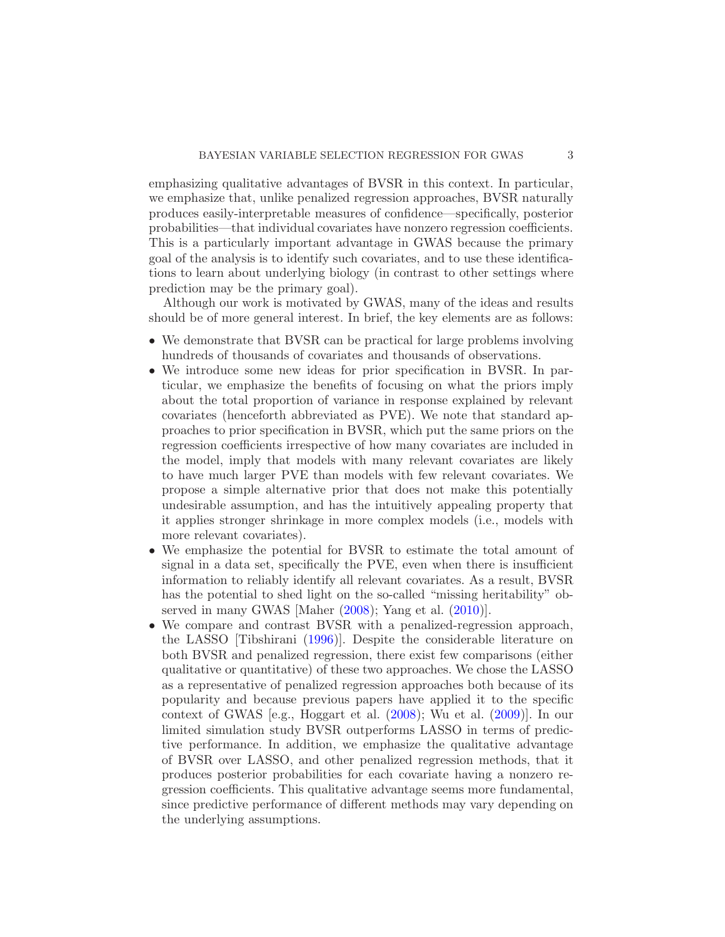emphasizing qualitative advantages of BVSR in this context. In particular, we emphasize that, unlike penalized regression approaches, BVSR naturally produces easily-interpretable measures of confidence—specifically, posterior probabilities—that individual covariates have nonzero regression coefficients. This is a particularly important advantage in GWAS because the primary goal of the analysis is to identify such covariates, and to use these identifications to learn about underlying biology (in contrast to other settings where prediction may be the primary goal).

Although our work is motivated by GWAS, many of the ideas and results should be of more general interest. In brief, the key elements are as follows:

- We demonstrate that BVSR can be practical for large problems involving hundreds of thousands of covariates and thousands of observations.
- We introduce some new ideas for prior specification in BVSR. In particular, we emphasize the benefits of focusing on what the priors imply about the total proportion of variance in response explained by relevant covariates (henceforth abbreviated as PVE). We note that standard approaches to prior specification in BVSR, which put the same priors on the regression coefficients irrespective of how many covariates are included in the model, imply that models with many relevant covariates are likely to have much larger PVE than models with few relevant covariates. We propose a simple alternative prior that does not make this potentially undesirable assumption, and has the intuitively appealing property that it applies stronger shrinkage in more complex models (i.e., models with more relevant covariates).
- We emphasize the potential for BVSR to estimate the total amount of signal in a data set, specifically the PVE, even when there is insufficient information to reliably identify all relevant covariates. As a result, BVSR has the potential to shed light on the so-called "missing heritability" observed in many GWAS [Maher [\(2008](#page-36-0)); Yang et al. [\(2010](#page-37-2))].
- We compare and contrast BVSR with a penalized-regression approach, the LASSO [Tibshirani [\(1996](#page-37-1))]. Despite the considerable literature on both BVSR and penalized regression, there exist few comparisons (either qualitative or quantitative) of these two approaches. We chose the LASSO as a representative of penalized regression approaches both because of its popularity and because previous papers have applied it to the specific context of GWAS [e.g., Hoggart et al. [\(2008](#page-36-1)); Wu et al. [\(2009](#page-37-3))]. In our limited simulation study BVSR outperforms LASSO in terms of predictive performance. In addition, we emphasize the qualitative advantage of BVSR over LASSO, and other penalized regression methods, that it produces posterior probabilities for each covariate having a nonzero regression coefficients. This qualitative advantage seems more fundamental, since predictive performance of different methods may vary depending on the underlying assumptions.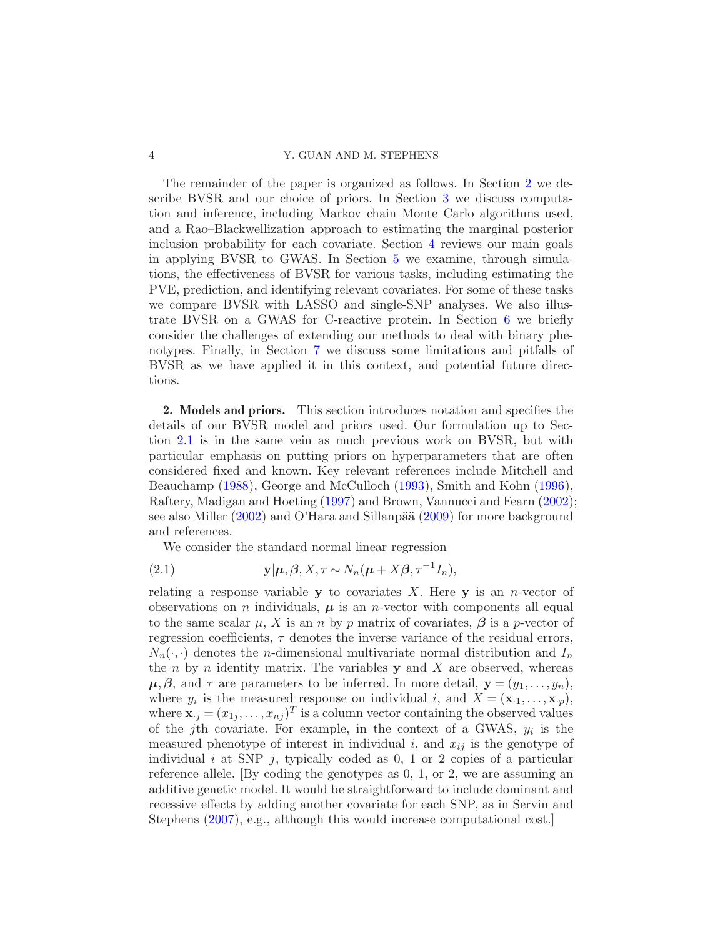The remainder of the paper is organized as follows. In Section [2](#page-3-0) we describe BVSR and our choice of priors. In Section [3](#page-8-0) we discuss computation and inference, including Markov chain Monte Carlo algorithms used, and a Rao–Blackwellization approach to estimating the marginal posterior inclusion probability for each covariate. Section [4](#page-11-0) reviews our main goals in applying BVSR to GWAS. In Section [5](#page-12-0) we examine, through simulations, the effectiveness of BVSR for various tasks, including estimating the PVE, prediction, and identifying relevant covariates. For some of these tasks we compare BVSR with LASSO and single-SNP analyses. We also illustrate BVSR on a GWAS for C-reactive protein. In Section [6](#page-28-0) we briefly consider the challenges of extending our methods to deal with binary phenotypes. Finally, in Section [7](#page-29-0) we discuss some limitations and pitfalls of BVSR as we have applied it in this context, and potential future directions.

<span id="page-3-0"></span>2. Models and priors. This section introduces notation and specifies the details of our BVSR model and priors used. Our formulation up to Section [2.1](#page-6-0) is in the same vein as much previous work on BVSR, but with particular emphasis on putting priors on hyperparameters that are often considered fixed and known. Key relevant references include Mitchell and Beauchamp [\(1988](#page-36-2)), George and McCulloch [\(1993\)](#page-36-3), Smith and Kohn [\(1996](#page-37-4)), Raftery, Madigan and Hoeting [\(1997](#page-36-4)) and Brown, Vannucci and Fearn [\(2002](#page-35-0)); see also Miller  $(2002)$  and O'Hara and Sillanpää  $(2009)$  for more background and references.

We consider the standard normal linear regression

(2.1) 
$$
\mathbf{y}|\boldsymbol{\mu}, \boldsymbol{\beta}, X, \tau \sim N_n(\boldsymbol{\mu} + X\boldsymbol{\beta}, \tau^{-1}I_n),
$$

relating a response variable y to covariates X. Here y is an *n*-vector of observations on n individuals,  $\mu$  is an n-vector with components all equal to the same scalar  $\mu$ , X is an n by p matrix of covariates,  $\beta$  is a p-vector of regression coefficients,  $\tau$  denotes the inverse variance of the residual errors,  $N_n(\cdot, \cdot)$  denotes the *n*-dimensional multivariate normal distribution and  $I_n$ the  $n$  by  $n$  identity matrix. The variables  $y$  and  $X$  are observed, whereas  $\mu, \beta$ , and  $\tau$  are parameters to be inferred. In more detail,  $\mathbf{y} = (y_1, \ldots, y_n)$ , where  $y_i$  is the measured response on individual i, and  $X = (\mathbf{x}_{1}, \ldots, \mathbf{x}_{p})$ , where  $\mathbf{x}_{.j} = (x_{1j}, \dots, x_{nj})^T$  is a column vector containing the observed values of the jth covariate. For example, in the context of a GWAS,  $y_i$  is the measured phenotype of interest in individual i, and  $x_{ij}$  is the genotype of individual  $i$  at SNP  $j$ , typically coded as 0, 1 or 2 copies of a particular reference allele. [By coding the genotypes as 0, 1, or 2, we are assuming an additive genetic model. It would be straightforward to include dominant and recessive effects by adding another covariate for each SNP, as in Servin and Stephens [\(2007](#page-37-5)), e.g., although this would increase computational cost.]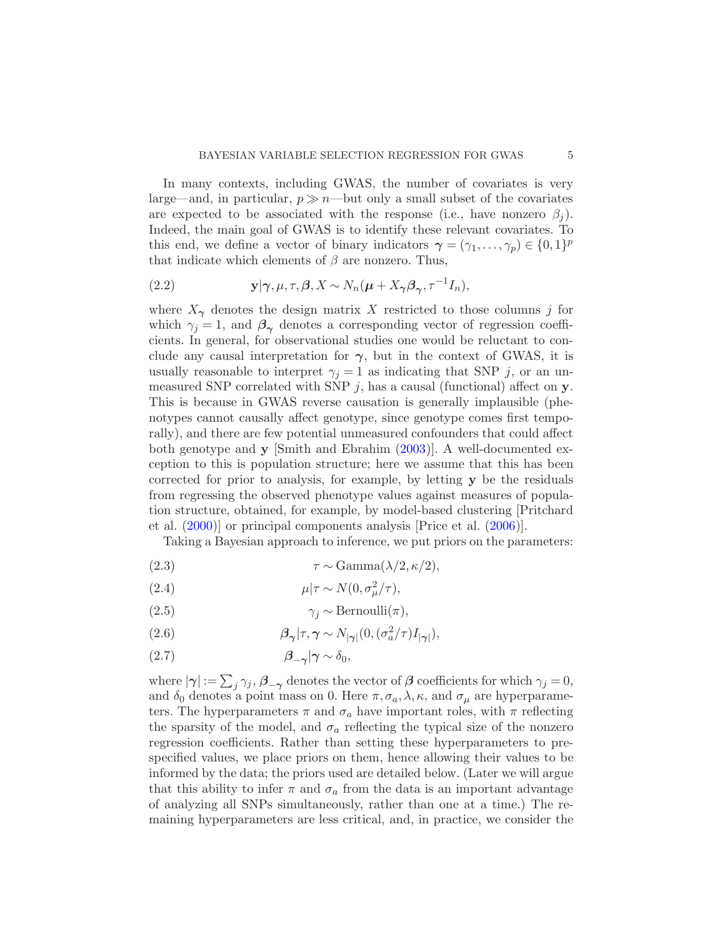In many contexts, including GWAS, the number of covariates is very large—and, in particular,  $p \gg n$ —but only a small subset of the covariates are expected to be associated with the response (i.e., have nonzero  $\beta_i$ ). Indeed, the main goal of GWAS is to identify these relevant covariates. To this end, we define a vector of binary indicators  $\boldsymbol{\gamma} = (\gamma_1, \ldots, \gamma_p) \in \{0, 1\}^p$ that indicate which elements of  $\beta$  are nonzero. Thus,

<span id="page-4-1"></span>(2.2) 
$$
\mathbf{y}|\boldsymbol{\gamma}, \mu, \tau, \boldsymbol{\beta}, X \sim N_n(\boldsymbol{\mu} + X_{\boldsymbol{\gamma}}\boldsymbol{\beta}_{\boldsymbol{\gamma}}, \tau^{-1}I_n),
$$

where  $X_{\gamma}$  denotes the design matrix X restricted to those columns j for which  $\gamma_j = 1$ , and  $\beta_\gamma$  denotes a corresponding vector of regression coefficients. In general, for observational studies one would be reluctant to conclude any causal interpretation for  $\gamma$ , but in the context of GWAS, it is usually reasonable to interpret  $\gamma_i = 1$  as indicating that SNP j, or an unmeasured SNP correlated with SNP  $j$ , has a causal (functional) affect on  $y$ . This is because in GWAS reverse causation is generally implausible (phenotypes cannot causally affect genotype, since genotype comes first temporally), and there are few potential unmeasured confounders that could affect both genotype and y [Smith and Ebrahim [\(2003](#page-37-6))]. A well-documented exception to this is population structure; here we assume that this has been corrected for prior to analysis, for example, by letting y be the residuals from regressing the observed phenotype values against measures of population structure, obtained, for example, by model-based clustering [Pritchard et al. [\(2000\)](#page-36-7)] or principal components analysis [Price et al. [\(2006](#page-36-8))].

<span id="page-4-0"></span>Taking a Bayesian approach to inference, we put priors on the parameters:

- (2.3)  $\tau \sim \text{Gamma}(\lambda/2, \kappa/2),$
- (2.4)  $\mu | \tau \sim N(0, \sigma_{\mu}^2 / \tau),$

$$
\gamma_j \sim \text{Bernoulli}(\pi),
$$

- (2.6)  $\beta_{\gamma}|\tau,\gamma \sim N_{|\gamma|}(0,(\sigma_a^2/\tau)I_{|\gamma|}),$
- (2.7)  $\beta_{-\gamma}|\gamma \sim \delta_0,$

where  $|\gamma| := \sum_j \gamma_j$ ,  $\beta_{-\gamma}$  denotes the vector of  $\beta$  coefficients for which  $\gamma_j = 0$ , and  $\delta_0$  denotes a point mass on 0. Here  $\pi, \sigma_a, \lambda, \kappa$ , and  $\sigma_\mu$  are hyperparameters. The hyperparameters  $\pi$  and  $\sigma_a$  have important roles, with  $\pi$  reflecting the sparsity of the model, and  $\sigma_a$  reflecting the typical size of the nonzero regression coefficients. Rather than setting these hyperparameters to prespecified values, we place priors on them, hence allowing their values to be informed by the data; the priors used are detailed below. (Later we will argue that this ability to infer  $\pi$  and  $\sigma_a$  from the data is an important advantage of analyzing all SNPs simultaneously, rather than one at a time.) The remaining hyperparameters are less critical, and, in practice, we consider the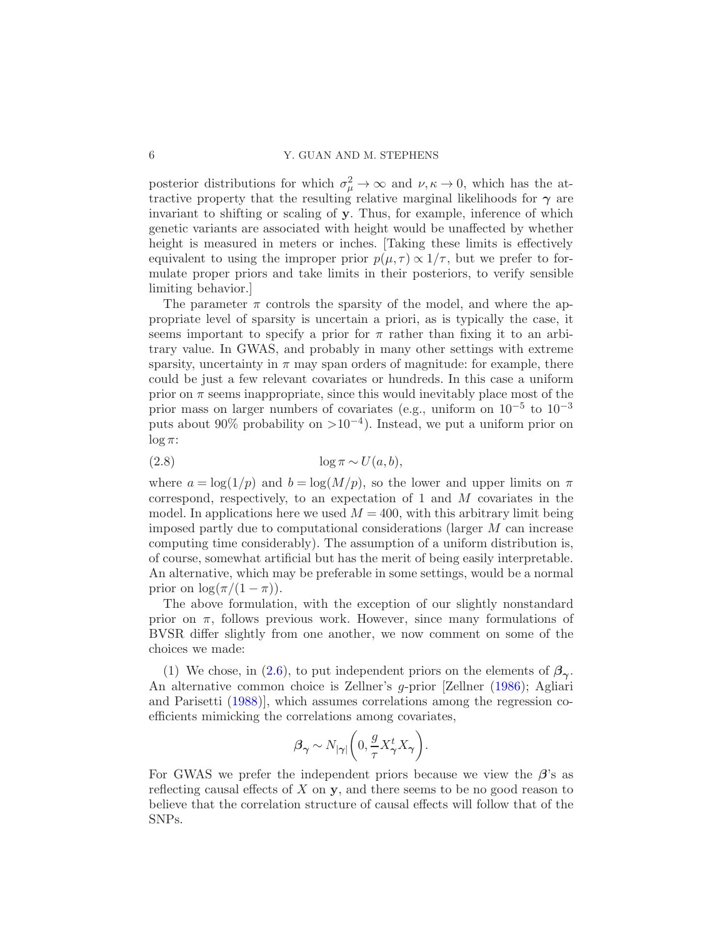posterior distributions for which  $\sigma_{\mu}^2 \to \infty$  and  $\nu, \kappa \to 0$ , which has the attractive property that the resulting relative marginal likelihoods for  $\gamma$  are invariant to shifting or scaling of y. Thus, for example, inference of which genetic variants are associated with height would be unaffected by whether height is measured in meters or inches. [Taking these limits is effectively equivalent to using the improper prior  $p(\mu, \tau) \propto 1/\tau$ , but we prefer to formulate proper priors and take limits in their posteriors, to verify sensible limiting behavior.]

The parameter  $\pi$  controls the sparsity of the model, and where the appropriate level of sparsity is uncertain a priori, as is typically the case, it seems important to specify a prior for  $\pi$  rather than fixing it to an arbitrary value. In GWAS, and probably in many other settings with extreme sparsity, uncertainty in  $\pi$  may span orders of magnitude: for example, there could be just a few relevant covariates or hundreds. In this case a uniform prior on  $\pi$  seems inappropriate, since this would inevitably place most of the prior mass on larger numbers of covariates (e.g., uniform on  $10^{-5}$  to  $10^{-3}$ puts about 90% probability on >10<sup>-4</sup>). Instead, we put a uniform prior on  $\log \pi$ :

<span id="page-5-0"></span>
$$
(2.8) \t\t \tlog \pi \sim U(a,b),
$$

where  $a = \log(1/p)$  and  $b = \log(M/p)$ , so the lower and upper limits on  $\pi$ correspond, respectively, to an expectation of 1 and M covariates in the model. In applications here we used  $M = 400$ , with this arbitrary limit being imposed partly due to computational considerations (larger M can increase computing time considerably). The assumption of a uniform distribution is, of course, somewhat artificial but has the merit of being easily interpretable. An alternative, which may be preferable in some settings, would be a normal prior on  $\log(\pi/(1-\pi))$ .

The above formulation, with the exception of our slightly nonstandard prior on  $\pi$ , follows previous work. However, since many formulations of BVSR differ slightly from one another, we now comment on some of the choices we made:

(1) We chose, in [\(2.6\)](#page-4-0), to put independent priors on the elements of  $\beta_{\gamma}$ . An alternative common choice is Zellner's g-prior [Zellner [\(1986\)](#page-37-7); Agliari and Parisetti [\(1988\)](#page-35-1)], which assumes correlations among the regression coefficients mimicking the correlations among covariates,

$$
\mathcal{B}_{\pmb\gamma}\sim N_{|\pmb\gamma|}\bigg(0,\frac{g}{\tau}X_{\pmb\gamma}^tX_{\pmb\gamma}\bigg).
$$

For GWAS we prefer the independent priors because we view the  $\beta$ 's as reflecting causal effects of  $X$  on  $y$ , and there seems to be no good reason to believe that the correlation structure of causal effects will follow that of the SNPs.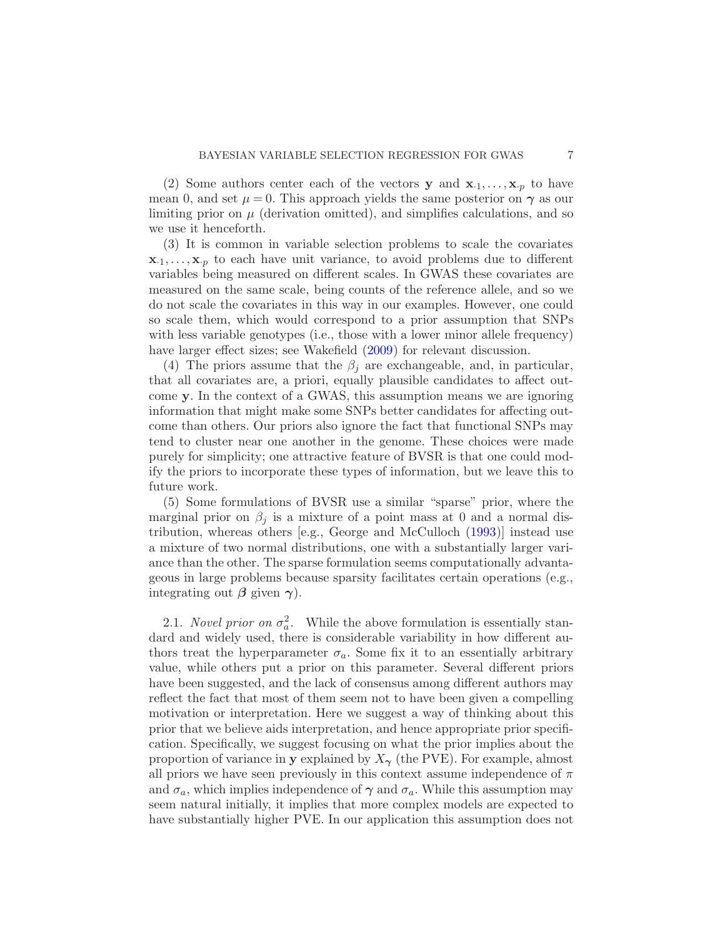(2) Some authors center each of the vectors **y** and  $\mathbf{x}_1, \ldots, \mathbf{x}_p$  to have mean 0, and set  $\mu = 0$ . This approach yields the same posterior on  $\gamma$  as our limiting prior on  $\mu$  (derivation omitted), and simplifies calculations, and so we use it henceforth.

(3) It is common in variable selection problems to scale the covariates  $\mathbf{x}_{1}, \ldots, \mathbf{x}_{p}$  to each have unit variance, to avoid problems due to different variables being measured on different scales. In GWAS these covariates are measured on the same scale, being counts of the reference allele, and so we do not scale the covariates in this way in our examples. However, one could so scale them, which would correspond to a prior assumption that SNPs with less variable genotypes (i.e., those with a lower minor allele frequency) have larger effect sizes; see Wakefield [\(2009](#page-37-8)) for relevant discussion.

(4) The priors assume that the  $\beta_i$  are exchangeable, and, in particular, that all covariates are, a priori, equally plausible candidates to affect outcome y. In the context of a GWAS, this assumption means we are ignoring information that might make some SNPs better candidates for affecting outcome than others. Our priors also ignore the fact that functional SNPs may tend to cluster near one another in the genome. These choices were made purely for simplicity; one attractive feature of BVSR is that one could modify the priors to incorporate these types of information, but we leave this to future work.

(5) Some formulations of BVSR use a similar "sparse" prior, where the marginal prior on  $\beta_i$  is a mixture of a point mass at 0 and a normal distribution, whereas others [e.g., George and McCulloch [\(1993](#page-36-3))] instead use a mixture of two normal distributions, one with a substantially larger variance than the other. The sparse formulation seems computationally advantageous in large problems because sparsity facilitates certain operations (e.g., integrating out  $\beta$  given  $\gamma$ ).

<span id="page-6-0"></span>2.1. Novel prior on  $\sigma_a^2$ . While the above formulation is essentially standard and widely used, there is considerable variability in how different authors treat the hyperparameter  $\sigma_a$ . Some fix it to an essentially arbitrary value, while others put a prior on this parameter. Several different priors have been suggested, and the lack of consensus among different authors may reflect the fact that most of them seem not to have been given a compelling motivation or interpretation. Here we suggest a way of thinking about this prior that we believe aids interpretation, and hence appropriate prior specification. Specifically, we suggest focusing on what the prior implies about the proportion of variance in y explained by  $X_{\gamma}$  (the PVE). For example, almost all priors we have seen previously in this context assume independence of  $\pi$ and  $\sigma_a$ , which implies independence of  $\gamma$  and  $\sigma_a$ . While this assumption may seem natural initially, it implies that more complex models are expected to have substantially higher PVE. In our application this assumption does not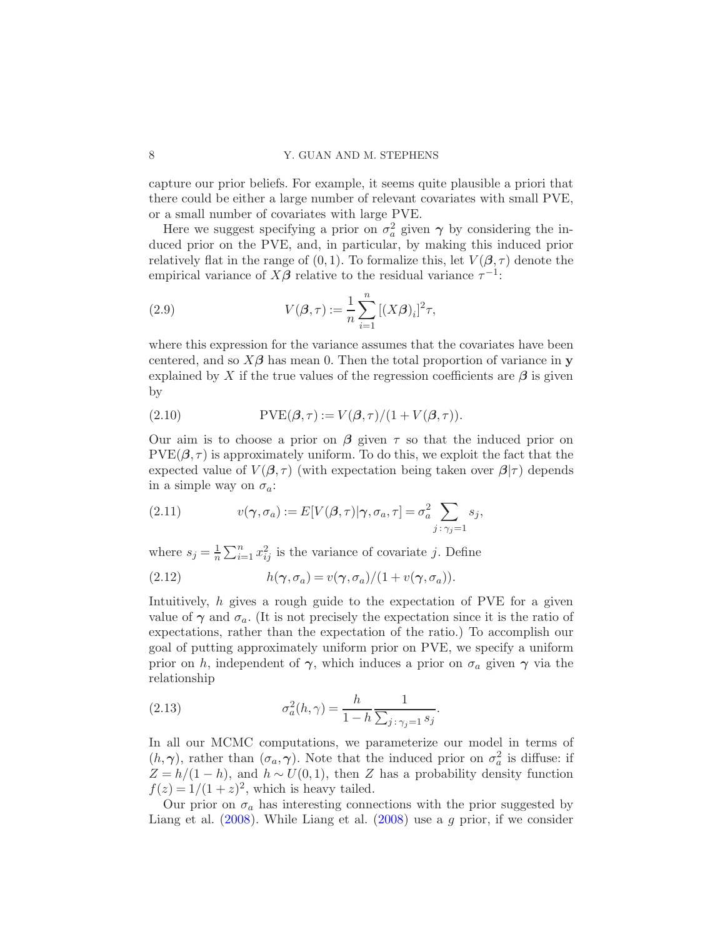capture our prior beliefs. For example, it seems quite plausible a priori that there could be either a large number of relevant covariates with small PVE, or a small number of covariates with large PVE.

Here we suggest specifying a prior on  $\sigma_a^2$  given  $\gamma$  by considering the induced prior on the PVE, and, in particular, by making this induced prior relatively flat in the range of  $(0, 1)$ . To formalize this, let  $V(\beta, \tau)$  denote the empirical variance of  $X\beta$  relative to the residual variance  $\tau^{-1}$ :

(2.9) 
$$
V(\beta, \tau) := \frac{1}{n} \sum_{i=1}^{n} [(X\beta)_i]^2 \tau,
$$

where this expression for the variance assumes that the covariates have been centered, and so  $X\beta$  has mean 0. Then the total proportion of variance in y explained by X if the true values of the regression coefficients are  $\beta$  is given by

<span id="page-7-0"></span>(2.10) 
$$
PVE(\boldsymbol{\beta}, \tau) := V(\boldsymbol{\beta}, \tau)/(1 + V(\boldsymbol{\beta}, \tau)).
$$

Our aim is to choose a prior on  $\beta$  given  $\tau$  so that the induced prior on  $PVE(\beta, \tau)$  is approximately uniform. To do this, we exploit the fact that the expected value of  $V(\beta, \tau)$  (with expectation being taken over  $\beta|\tau$ ) depends in a simple way on  $\sigma_a$ :

<span id="page-7-1"></span>(2.11) 
$$
v(\gamma, \sigma_a) := E[V(\beta, \tau)|\gamma, \sigma_a, \tau] = \sigma_a^2 \sum_{j : \gamma_j = 1} s_j,
$$

where  $s_j = \frac{1}{n}$  $\frac{1}{n} \sum_{i=1}^{n} x_{ij}^2$  is the variance of covariate j. Define

(2.12) 
$$
h(\gamma, \sigma_a) = v(\gamma, \sigma_a)/(1 + v(\gamma, \sigma_a)).
$$

Intuitively, h gives a rough guide to the expectation of PVE for a given value of  $\gamma$  and  $\sigma_a$ . (It is not precisely the expectation since it is the ratio of expectations, rather than the expectation of the ratio.) To accomplish our goal of putting approximately uniform prior on PVE, we specify a uniform prior on h, independent of  $\gamma$ , which induces a prior on  $\sigma_a$  given  $\gamma$  via the relationship

<span id="page-7-2"></span>(2.13) 
$$
\sigma_a^2(h,\gamma) = \frac{h}{1-h} \frac{1}{\sum_{j:\gamma_j=1} s_j}.
$$

In all our MCMC computations, we parameterize our model in terms of  $(h, \gamma)$ , rather than  $(\sigma_a, \gamma)$ . Note that the induced prior on  $\sigma_a^2$  is diffuse: if  $Z = h/(1-h)$ , and  $h \sim U(0,1)$ , then Z has a probability density function  $f(z) = 1/(1+z)^2$ , which is heavy tailed.

Our prior on  $\sigma_a$  has interesting connections with the prior suggested by Liang et al. [\(2008](#page-36-9)). While Liang et al. [\(2008](#page-36-9)) use a g prior, if we consider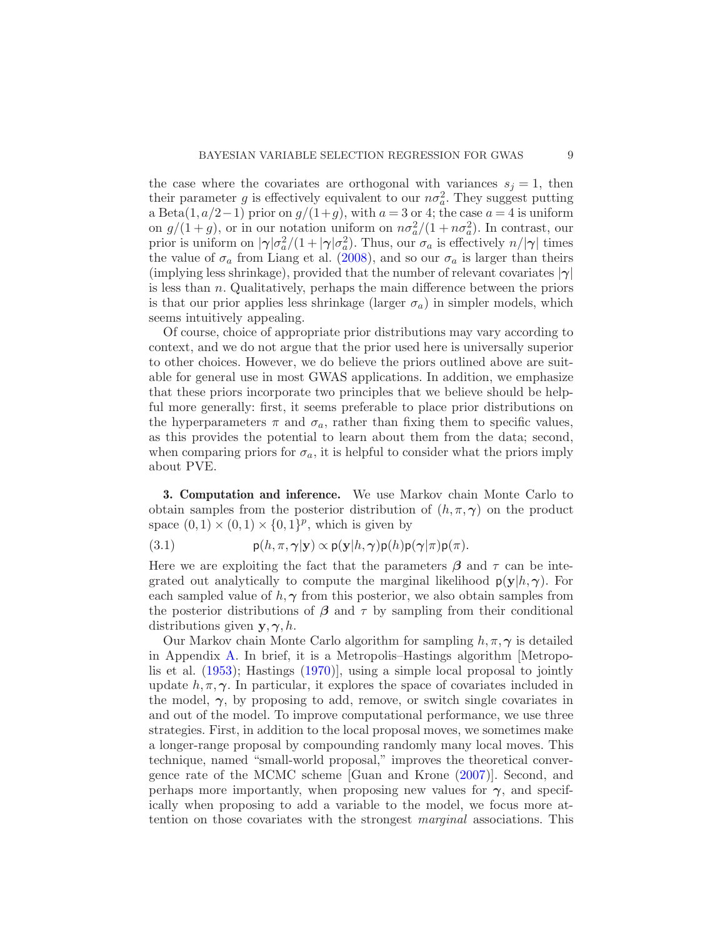the case where the covariates are orthogonal with variances  $s_i = 1$ , then their parameter g is effectively equivalent to our  $n\sigma_a^2$ . They suggest putting a Beta $(1, a/2-1)$  prior on  $g/(1+g)$ , with  $a = 3$  or 4; the case  $a = 4$  is uniform on  $g/(1+g)$ , or in our notation uniform on  $n\sigma_a^2/(1+n\sigma_a^2)$ . In contrast, our prior is uniform on  $|\gamma|\sigma_a^2/(1+|\gamma|\sigma_a^2)$ . Thus, our  $\sigma_a$  is effectively  $n/|\gamma|$  times the value of  $\sigma_a$  from Liang et al. [\(2008](#page-36-9)), and so our  $\sigma_a$  is larger than theirs (implying less shrinkage), provided that the number of relevant covariates  $|\gamma|$ is less than n. Qualitatively, perhaps the main difference between the priors is that our prior applies less shrinkage (larger  $\sigma_a$ ) in simpler models, which seems intuitively appealing.

Of course, choice of appropriate prior distributions may vary according to context, and we do not argue that the prior used here is universally superior to other choices. However, we do believe the priors outlined above are suitable for general use in most GWAS applications. In addition, we emphasize that these priors incorporate two principles that we believe should be helpful more generally: first, it seems preferable to place prior distributions on the hyperparameters  $\pi$  and  $\sigma_a$ , rather than fixing them to specific values, as this provides the potential to learn about them from the data; second, when comparing priors for  $\sigma_a$ , it is helpful to consider what the priors imply about PVE.

<span id="page-8-0"></span>3. Computation and inference. We use Markov chain Monte Carlo to obtain samples from the posterior distribution of  $(h, \pi, \gamma)$  on the product space  $(0,1) \times (0,1) \times \{0,1\}^p$ , which is given by

(3.1) 
$$
p(h, \pi, \gamma | \mathbf{y}) \propto p(\mathbf{y} | h, \gamma) p(h) p(\gamma | \pi) p(\pi).
$$

Here we are exploiting the fact that the parameters  $\beta$  and  $\tau$  can be integrated out analytically to compute the marginal likelihood  $p(y|h, \gamma)$ . For each sampled value of  $h, \gamma$  from this posterior, we also obtain samples from the posterior distributions of  $\beta$  and  $\tau$  by sampling from their conditional distributions given  $y, \gamma, h$ .

Our Markov chain Monte Carlo algorithm for sampling  $h, \pi, \gamma$  is detailed in Appendix [A.](#page-32-0) In brief, it is a Metropolis–Hastings algorithm [Metropolis et al. [\(1953](#page-36-10)); Hastings [\(1970](#page-36-11))], using a simple local proposal to jointly update  $h, \pi, \gamma$ . In particular, it explores the space of covariates included in the model,  $\gamma$ , by proposing to add, remove, or switch single covariates in and out of the model. To improve computational performance, we use three strategies. First, in addition to the local proposal moves, we sometimes make a longer-range proposal by compounding randomly many local moves. This technique, named "small-world proposal," improves the theoretical convergence rate of the MCMC scheme [Guan and Krone [\(2007](#page-36-12))]. Second, and perhaps more importantly, when proposing new values for  $\gamma$ , and specifically when proposing to add a variable to the model, we focus more attention on those covariates with the strongest *marginal* associations. This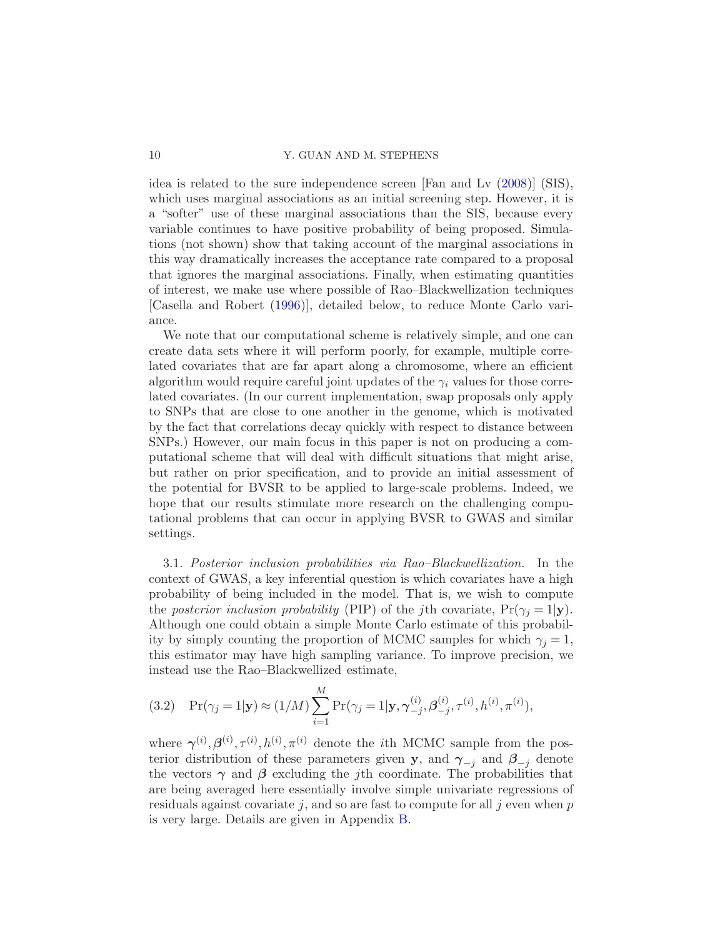idea is related to the sure independence screen [Fan and Lv [\(2008](#page-35-2))] (SIS), which uses marginal associations as an initial screening step. However, it is a "softer" use of these marginal associations than the SIS, because every variable continues to have positive probability of being proposed. Simulations (not shown) show that taking account of the marginal associations in this way dramatically increases the acceptance rate compared to a proposal that ignores the marginal associations. Finally, when estimating quantities of interest, we make use where possible of Rao–Blackwellization techniques [Casella and Robert [\(1996](#page-35-3))], detailed below, to reduce Monte Carlo variance.

We note that our computational scheme is relatively simple, and one can create data sets where it will perform poorly, for example, multiple correlated covariates that are far apart along a chromosome, where an efficient algorithm would require careful joint updates of the  $\gamma_i$  values for those correlated covariates. (In our current implementation, swap proposals only apply to SNPs that are close to one another in the genome, which is motivated by the fact that correlations decay quickly with respect to distance between SNPs.) However, our main focus in this paper is not on producing a computational scheme that will deal with difficult situations that might arise, but rather on prior specification, and to provide an initial assessment of the potential for BVSR to be applied to large-scale problems. Indeed, we hope that our results stimulate more research on the challenging computational problems that can occur in applying BVSR to GWAS and similar settings.

3.1. Posterior inclusion probabilities via Rao–Blackwellization. In the context of GWAS, a key inferential question is which covariates have a high probability of being included in the model. That is, we wish to compute the posterior inclusion probability (PIP) of the jth covariate,  $Pr(\gamma_j = 1 | \mathbf{y}).$ Although one could obtain a simple Monte Carlo estimate of this probability by simply counting the proportion of MCMC samples for which  $\gamma_i = 1$ , this estimator may have high sampling variance. To improve precision, we instead use the Rao–Blackwellized estimate,

<span id="page-9-0"></span>(3.2) 
$$
\Pr(\gamma_j = 1 | \mathbf{y}) \approx (1/M) \sum_{i=1}^{M} \Pr(\gamma_j = 1 | \mathbf{y}, \boldsymbol{\gamma}_{-j}^{(i)}, \boldsymbol{\beta}_{-j}^{(i)}, \boldsymbol{\tau}^{(i)}, h^{(i)}, \boldsymbol{\pi}^{(i)}),
$$

where  $\gamma^{(i)}, \beta^{(i)}, \tau^{(i)}, h^{(i)}, \pi^{(i)}$  denote the *i*th MCMC sample from the posterior distribution of these parameters given y, and  $\gamma_{-j}$  and  $\beta_{-j}$  denote the vectors  $\gamma$  and  $\beta$  excluding the *j*th coordinate. The probabilities that are being averaged here essentially involve simple univariate regressions of residuals against covariate j, and so are fast to compute for all j even when  $p$ is very large. Details are given in Appendix [B.](#page-33-0)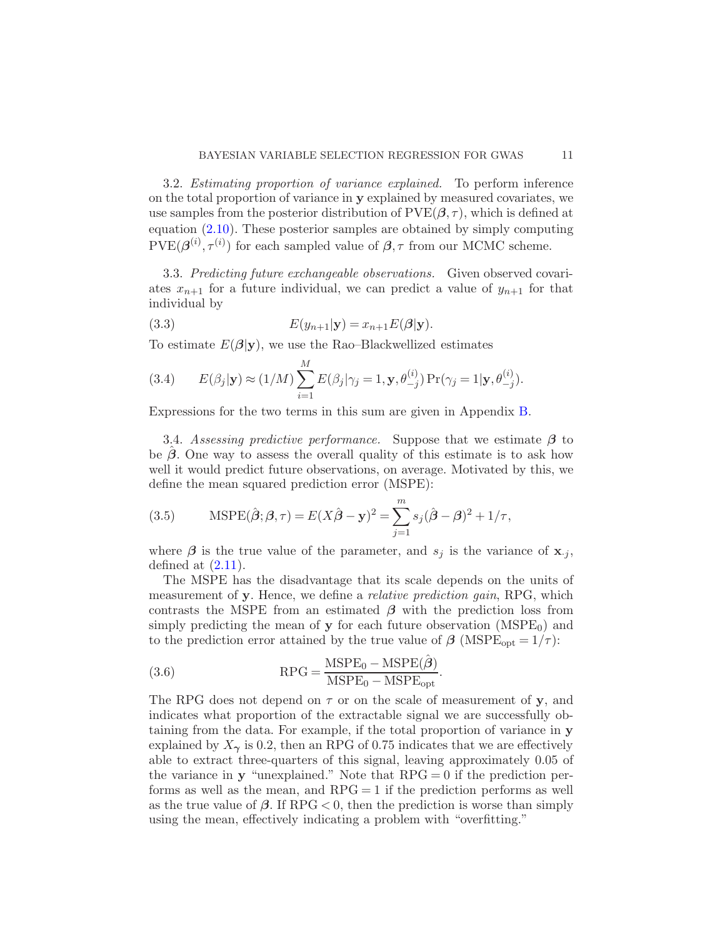3.2. Estimating proportion of variance explained. To perform inference on the total proportion of variance in y explained by measured covariates, we use samples from the posterior distribution of  $PVE(\beta, \tau)$ , which is defined at equation [\(2.10\)](#page-7-0). These posterior samples are obtained by simply computing  $PVE(\boldsymbol{\beta}^{(i)}, \tau^{(i)})$  for each sampled value of  $\boldsymbol{\beta}, \tau$  from our MCMC scheme.

3.3. Predicting future exchangeable observations. Given observed covariates  $x_{n+1}$  for a future individual, we can predict a value of  $y_{n+1}$  for that individual by

(3.3) 
$$
E(y_{n+1}|\mathbf{y}) = x_{n+1}E(\boldsymbol{\beta}|\mathbf{y}).
$$

To estimate  $E(\beta|\mathbf{y})$ , we use the Rao–Blackwellized estimates

<span id="page-10-1"></span>(3.4) 
$$
E(\beta_j | \mathbf{y}) \approx (1/M) \sum_{i=1}^{M} E(\beta_j | \gamma_j = 1, \mathbf{y}, \theta_{-j}^{(i)}) \Pr(\gamma_j = 1 | \mathbf{y}, \theta_{-j}^{(i)})
$$
.

Expressions for the two terms in this sum are given in Appendix [B.](#page-33-0)

3.4. Assessing predictive performance. Suppose that we estimate  $\beta$  to be  $\beta$ . One way to assess the overall quality of this estimate is to ask how well it would predict future observations, on average. Motivated by this, we define the mean squared prediction error (MSPE):

(3.5) 
$$
\text{MSPE}(\hat{\boldsymbol{\beta}}; \boldsymbol{\beta}, \tau) = E(X\hat{\boldsymbol{\beta}} - \mathbf{y})^2 = \sum_{j=1}^m s_j(\hat{\boldsymbol{\beta}} - \boldsymbol{\beta})^2 + 1/\tau,
$$

where  $\beta$  is the true value of the parameter, and  $s_j$  is the variance of  $\mathbf{x}_{.j}$ , defined at  $(2.11)$ .

The MSPE has the disadvantage that its scale depends on the units of measurement of y. Hence, we define a *relative prediction qain*, RPG, which contrasts the MSPE from an estimated  $\beta$  with the prediction loss from simply predicting the mean of **y** for each future observation  $(MSPE<sub>0</sub>)$  and to the prediction error attained by the true value of  $\beta$  (MSPE<sub>opt</sub> =  $1/\tau$ ):

<span id="page-10-0"></span>(3.6) 
$$
RPG = \frac{MSPE_0 - MSPE(\hat{\boldsymbol{\beta}})}{MSPE_0 - MSPE_{opt}}.
$$

The RPG does not depend on  $\tau$  or on the scale of measurement of y, and indicates what proportion of the extractable signal we are successfully obtaining from the data. For example, if the total proportion of variance in y explained by  $X_{\gamma}$  is 0.2, then an RPG of 0.75 indicates that we are effectively able to extract three-quarters of this signal, leaving approximately 0.05 of the variance in y "unexplained." Note that  $RPG = 0$  if the prediction performs as well as the mean, and  $RPG = 1$  if the prediction performs as well as the true value of  $\beta$ . If RPG < 0, then the prediction is worse than simply using the mean, effectively indicating a problem with "overfitting."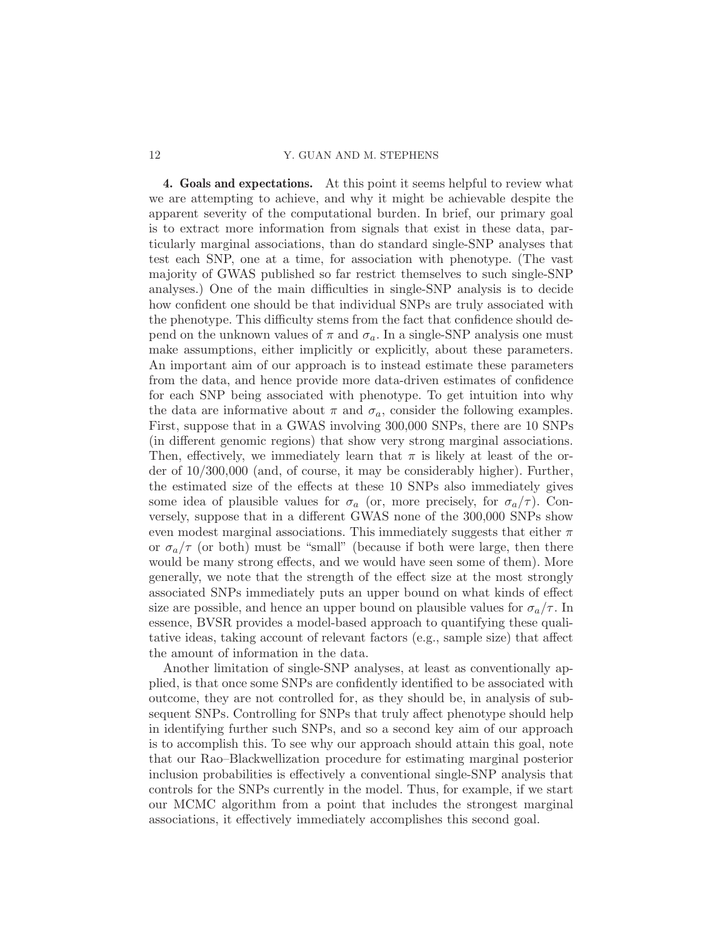<span id="page-11-0"></span>4. Goals and expectations. At this point it seems helpful to review what we are attempting to achieve, and why it might be achievable despite the apparent severity of the computational burden. In brief, our primary goal is to extract more information from signals that exist in these data, particularly marginal associations, than do standard single-SNP analyses that test each SNP, one at a time, for association with phenotype. (The vast majority of GWAS published so far restrict themselves to such single-SNP analyses.) One of the main difficulties in single-SNP analysis is to decide how confident one should be that individual SNPs are truly associated with the phenotype. This difficulty stems from the fact that confidence should depend on the unknown values of  $\pi$  and  $\sigma_a$ . In a single-SNP analysis one must make assumptions, either implicitly or explicitly, about these parameters. An important aim of our approach is to instead estimate these parameters from the data, and hence provide more data-driven estimates of confidence for each SNP being associated with phenotype. To get intuition into why the data are informative about  $\pi$  and  $\sigma_a$ , consider the following examples. First, suppose that in a GWAS involving 300,000 SNPs, there are 10 SNPs (in different genomic regions) that show very strong marginal associations. Then, effectively, we immediately learn that  $\pi$  is likely at least of the order of 10/300,000 (and, of course, it may be considerably higher). Further, the estimated size of the effects at these 10 SNPs also immediately gives some idea of plausible values for  $\sigma_a$  (or, more precisely, for  $\sigma_a/\tau$ ). Conversely, suppose that in a different GWAS none of the 300,000 SNPs show even modest marginal associations. This immediately suggests that either  $\pi$ or  $\sigma_a/\tau$  (or both) must be "small" (because if both were large, then there would be many strong effects, and we would have seen some of them). More generally, we note that the strength of the effect size at the most strongly associated SNPs immediately puts an upper bound on what kinds of effect size are possible, and hence an upper bound on plausible values for  $\sigma_a/\tau$ . In essence, BVSR provides a model-based approach to quantifying these qualitative ideas, taking account of relevant factors (e.g., sample size) that affect the amount of information in the data.

Another limitation of single-SNP analyses, at least as conventionally applied, is that once some SNPs are confidently identified to be associated with outcome, they are not controlled for, as they should be, in analysis of subsequent SNPs. Controlling for SNPs that truly affect phenotype should help in identifying further such SNPs, and so a second key aim of our approach is to accomplish this. To see why our approach should attain this goal, note that our Rao–Blackwellization procedure for estimating marginal posterior inclusion probabilities is effectively a conventional single-SNP analysis that controls for the SNPs currently in the model. Thus, for example, if we start our MCMC algorithm from a point that includes the strongest marginal associations, it effectively immediately accomplishes this second goal.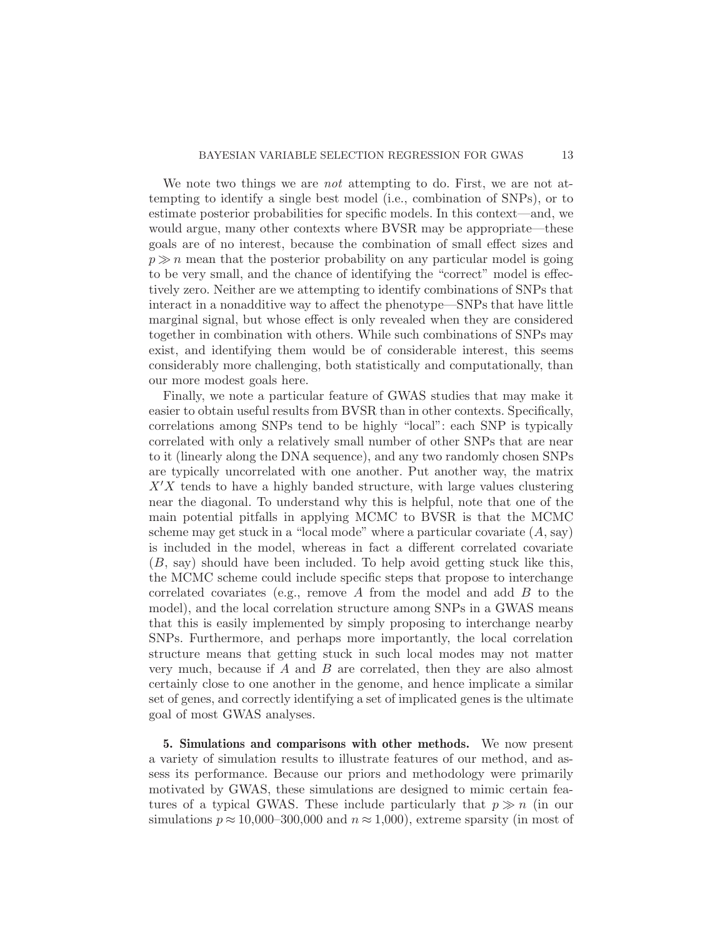We note two things we are *not* attempting to do. First, we are not attempting to identify a single best model (i.e., combination of SNPs), or to estimate posterior probabilities for specific models. In this context—and, we would argue, many other contexts where BVSR may be appropriate—these goals are of no interest, because the combination of small effect sizes and  $p \gg n$  mean that the posterior probability on any particular model is going to be very small, and the chance of identifying the "correct" model is effectively zero. Neither are we attempting to identify combinations of SNPs that interact in a nonadditive way to affect the phenotype—SNPs that have little marginal signal, but whose effect is only revealed when they are considered together in combination with others. While such combinations of SNPs may exist, and identifying them would be of considerable interest, this seems considerably more challenging, both statistically and computationally, than our more modest goals here.

Finally, we note a particular feature of GWAS studies that may make it easier to obtain useful results from BVSR than in other contexts. Specifically, correlations among SNPs tend to be highly "local": each SNP is typically correlated with only a relatively small number of other SNPs that are near to it (linearly along the DNA sequence), and any two randomly chosen SNPs are typically uncorrelated with one another. Put another way, the matrix  $X'X$  tends to have a highly banded structure, with large values clustering near the diagonal. To understand why this is helpful, note that one of the main potential pitfalls in applying MCMC to BVSR is that the MCMC scheme may get stuck in a "local mode" where a particular covariate  $(A, say)$ is included in the model, whereas in fact a different correlated covariate (B, say) should have been included. To help avoid getting stuck like this, the MCMC scheme could include specific steps that propose to interchange correlated covariates (e.g., remove A from the model and add  $B$  to the model), and the local correlation structure among SNPs in a GWAS means that this is easily implemented by simply proposing to interchange nearby SNPs. Furthermore, and perhaps more importantly, the local correlation structure means that getting stuck in such local modes may not matter very much, because if  $A$  and  $B$  are correlated, then they are also almost certainly close to one another in the genome, and hence implicate a similar set of genes, and correctly identifying a set of implicated genes is the ultimate goal of most GWAS analyses.

<span id="page-12-0"></span>5. Simulations and comparisons with other methods. We now present a variety of simulation results to illustrate features of our method, and assess its performance. Because our priors and methodology were primarily motivated by GWAS, these simulations are designed to mimic certain features of a typical GWAS. These include particularly that  $p \gg n$  (in our simulations  $p \approx 10,000-300,000$  and  $n \approx 1,000$ , extreme sparsity (in most of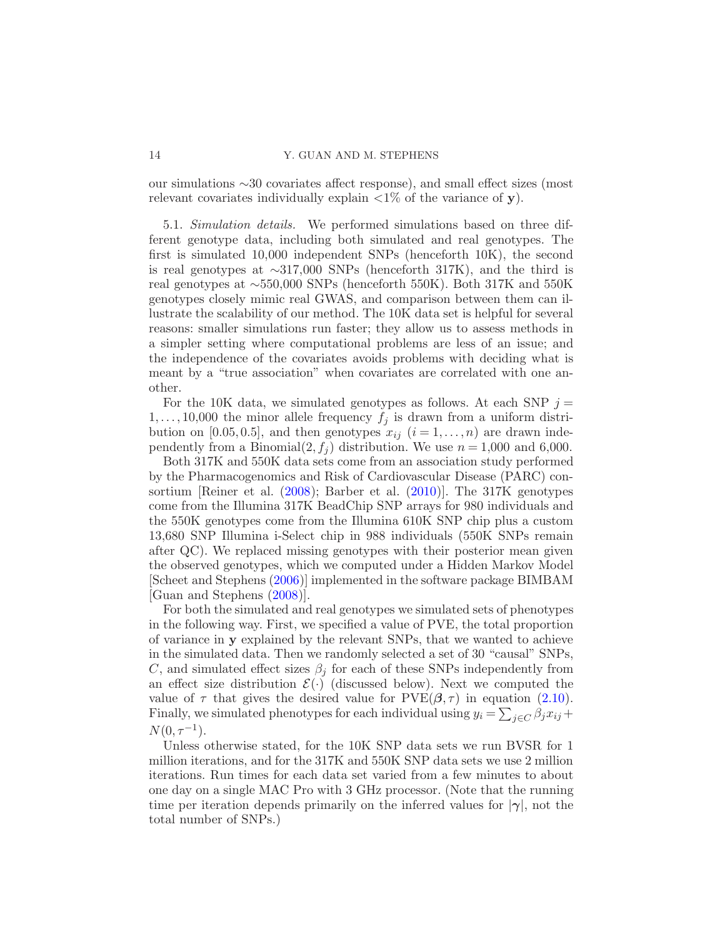our simulations ∼30 covariates affect response), and small effect sizes (most relevant covariates individually explain  $\langle 1\% \rangle$  of the variance of y).

<span id="page-13-0"></span>5.1. Simulation details. We performed simulations based on three different genotype data, including both simulated and real genotypes. The first is simulated 10,000 independent SNPs (henceforth 10K), the second is real genotypes at ∼317,000 SNPs (henceforth 317K), and the third is real genotypes at ∼550,000 SNPs (henceforth 550K). Both 317K and 550K genotypes closely mimic real GWAS, and comparison between them can illustrate the scalability of our method. The 10K data set is helpful for several reasons: smaller simulations run faster; they allow us to assess methods in a simpler setting where computational problems are less of an issue; and the independence of the covariates avoids problems with deciding what is meant by a "true association" when covariates are correlated with one another.

For the 10K data, we simulated genotypes as follows. At each SNP  $j =$  $1, \ldots, 10,000$  the minor allele frequency  $f_i$  is drawn from a uniform distribution on [0.05, 0.5], and then genotypes  $x_{ij}$   $(i = 1, \ldots, n)$  are drawn independently from a Binomial $(2, f_i)$  distribution. We use  $n = 1,000$  and 6,000.

Both 317K and 550K data sets come from an association study performed by the Pharmacogenomics and Risk of Cardiovascular Disease (PARC) consortium [Reiner et al. [\(2008](#page-37-9)); Barber et al. [\(2010\)](#page-35-4)]. The 317K genotypes come from the Illumina 317K BeadChip SNP arrays for 980 individuals and the 550K genotypes come from the Illumina 610K SNP chip plus a custom 13,680 SNP Illumina i-Select chip in 988 individuals (550K SNPs remain after QC). We replaced missing genotypes with their posterior mean given the observed genotypes, which we computed under a Hidden Markov Model [Scheet and Stephens [\(2006](#page-37-10))] implemented in the software package BIMBAM [Guan and Stephens [\(2008](#page-36-13))].

For both the simulated and real genotypes we simulated sets of phenotypes in the following way. First, we specified a value of PVE, the total proportion of variance in y explained by the relevant SNPs, that we wanted to achieve in the simulated data. Then we randomly selected a set of 30 "causal" SNPs, C, and simulated effect sizes  $\beta_i$  for each of these SNPs independently from an effect size distribution  $\mathcal{E}(\cdot)$  (discussed below). Next we computed the value of  $\tau$  that gives the desired value for  $PVE(\beta, \tau)$  in equation [\(2.10\)](#page-7-0). Finally, we simulated phenotypes for each individual using  $y_i = \sum_{j \in C} \beta_j x_{ij} +$  $N(0, \tau^{-1}).$ 

Unless otherwise stated, for the 10K SNP data sets we run BVSR for 1 million iterations, and for the 317K and 550K SNP data sets we use 2 million iterations. Run times for each data set varied from a few minutes to about one day on a single MAC Pro with 3 GHz processor. (Note that the running time per iteration depends primarily on the inferred values for  $|\gamma|$ , not the total number of SNPs.)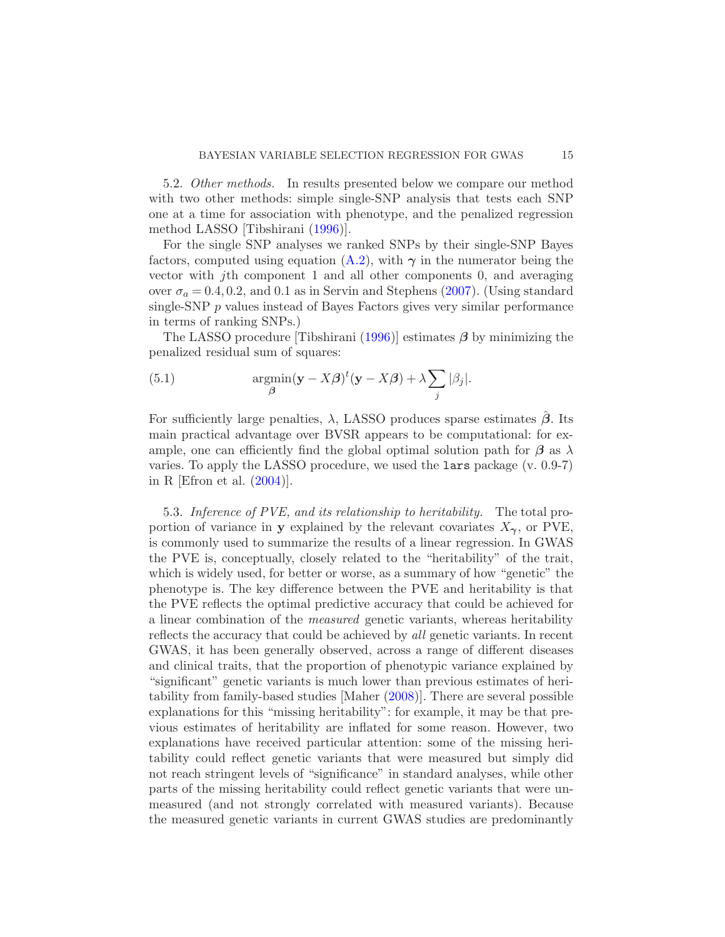<span id="page-14-0"></span>5.2. Other methods. In results presented below we compare our method with two other methods: simple single-SNP analysis that tests each SNP one at a time for association with phenotype, and the penalized regression method LASSO [Tibshirani [\(1996](#page-37-1))].

For the single SNP analyses we ranked SNPs by their single-SNP Bayes factors, computed using equation [\(A.2\)](#page-32-1), with  $\gamma$  in the numerator being the vector with jth component 1 and all other components 0, and averaging over  $\sigma_a = 0.4, 0.2,$  and 0.1 as in Servin and Stephens [\(2007](#page-37-5)). (Using standard single-SNP  $p$  values instead of Bayes Factors gives very similar performance in terms of ranking SNPs.)

The LASSO procedure [Tibshirani [\(1996](#page-37-1))] estimates  $\beta$  by minimizing the penalized residual sum of squares:

(5.1) 
$$
\underset{\beta}{\operatorname{argmin}} (\mathbf{y} - X\beta)^t (\mathbf{y} - X\beta) + \lambda \sum_j |\beta_j|.
$$

For sufficiently large penalties,  $\lambda$ , LASSO produces sparse estimates  $\beta$ . Its main practical advantage over BVSR appears to be computational: for example, one can efficiently find the global optimal solution path for  $\beta$  as  $\lambda$ varies. To apply the LASSO procedure, we used the lars package (v. 0.9-7) in R [Efron et al. [\(2004](#page-35-5))].

5.3. Inference of PVE, and its relationship to heritability. The total proportion of variance in y explained by the relevant covariates  $X_{\gamma}$ , or PVE, is commonly used to summarize the results of a linear regression. In GWAS the PVE is, conceptually, closely related to the "heritability" of the trait, which is widely used, for better or worse, as a summary of how "genetic" the phenotype is. The key difference between the PVE and heritability is that the PVE reflects the optimal predictive accuracy that could be achieved for a linear combination of the measured genetic variants, whereas heritability reflects the accuracy that could be achieved by all genetic variants. In recent GWAS, it has been generally observed, across a range of different diseases and clinical traits, that the proportion of phenotypic variance explained by "significant" genetic variants is much lower than previous estimates of heritability from family-based studies [Maher [\(2008](#page-36-0))]. There are several possible explanations for this "missing heritability": for example, it may be that previous estimates of heritability are inflated for some reason. However, two explanations have received particular attention: some of the missing heritability could reflect genetic variants that were measured but simply did not reach stringent levels of "significance" in standard analyses, while other parts of the missing heritability could reflect genetic variants that were unmeasured (and not strongly correlated with measured variants). Because the measured genetic variants in current GWAS studies are predominantly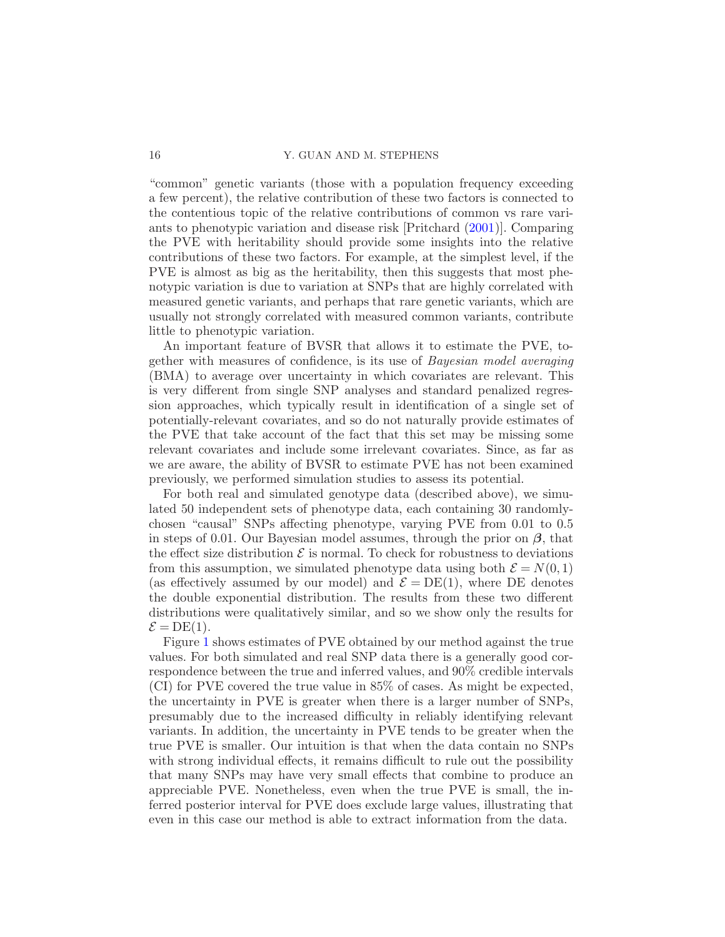"common" genetic variants (those with a population frequency exceeding a few percent), the relative contribution of these two factors is connected to the contentious topic of the relative contributions of common vs rare variants to phenotypic variation and disease risk [Pritchard [\(2001](#page-36-14))]. Comparing the PVE with heritability should provide some insights into the relative contributions of these two factors. For example, at the simplest level, if the PVE is almost as big as the heritability, then this suggests that most phenotypic variation is due to variation at SNPs that are highly correlated with measured genetic variants, and perhaps that rare genetic variants, which are usually not strongly correlated with measured common variants, contribute little to phenotypic variation.

An important feature of BVSR that allows it to estimate the PVE, together with measures of confidence, is its use of Bayesian model averaging (BMA) to average over uncertainty in which covariates are relevant. This is very different from single SNP analyses and standard penalized regression approaches, which typically result in identification of a single set of potentially-relevant covariates, and so do not naturally provide estimates of the PVE that take account of the fact that this set may be missing some relevant covariates and include some irrelevant covariates. Since, as far as we are aware, the ability of BVSR to estimate PVE has not been examined previously, we performed simulation studies to assess its potential.

For both real and simulated genotype data (described above), we simulated 50 independent sets of phenotype data, each containing 30 randomlychosen "causal" SNPs affecting phenotype, varying PVE from 0.01 to 0.5 in steps of 0.01. Our Bayesian model assumes, through the prior on  $\beta$ , that the effect size distribution  $\mathcal E$  is normal. To check for robustness to deviations from this assumption, we simulated phenotype data using both  $\mathcal{E} = N(0, 1)$ (as effectively assumed by our model) and  $\mathcal{E} = DE(1)$ , where DE denotes the double exponential distribution. The results from these two different distributions were qualitatively similar, and so we show only the results for  $\mathcal{E} = DE(1)$ .

Figure [1](#page-16-0) shows estimates of PVE obtained by our method against the true values. For both simulated and real SNP data there is a generally good correspondence between the true and inferred values, and 90% credible intervals (CI) for PVE covered the true value in 85% of cases. As might be expected, the uncertainty in PVE is greater when there is a larger number of SNPs, presumably due to the increased difficulty in reliably identifying relevant variants. In addition, the uncertainty in PVE tends to be greater when the true PVE is smaller. Our intuition is that when the data contain no SNPs with strong individual effects, it remains difficult to rule out the possibility that many SNPs may have very small effects that combine to produce an appreciable PVE. Nonetheless, even when the true PVE is small, the inferred posterior interval for PVE does exclude large values, illustrating that even in this case our method is able to extract information from the data.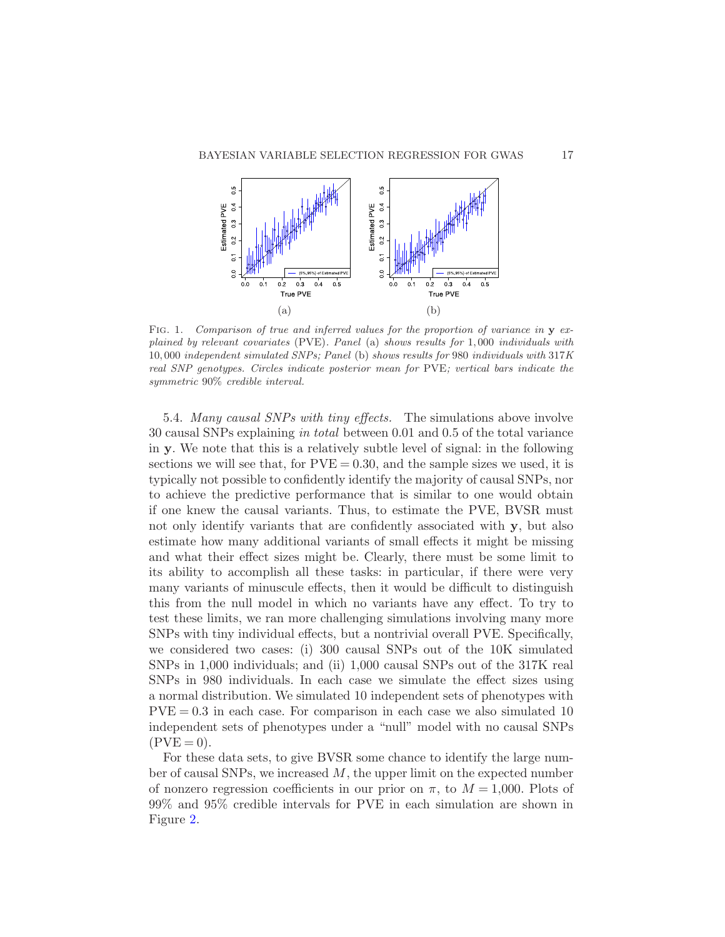

<span id="page-16-0"></span>FIG. 1. Comparison of true and inferred values for the proportion of variance in  $y$  explained by relevant covariates (PVE). Panel (a) shows results for 1, 000 individuals with 10, 000 independent simulated SNPs; Panel (b) shows results for 980 individuals with 317K real SNP genotypes. Circles indicate posterior mean for PVE; vertical bars indicate the symmetric 90% credible interval.

5.4. Many causal SNPs with tiny effects. The simulations above involve 30 causal SNPs explaining in total between 0.01 and 0.5 of the total variance in y. We note that this is a relatively subtle level of signal: in the following sections we will see that, for  $PVE = 0.30$ , and the sample sizes we used, it is typically not possible to confidently identify the majority of causal SNPs, nor to achieve the predictive performance that is similar to one would obtain if one knew the causal variants. Thus, to estimate the PVE, BVSR must not only identify variants that are confidently associated with y, but also estimate how many additional variants of small effects it might be missing and what their effect sizes might be. Clearly, there must be some limit to its ability to accomplish all these tasks: in particular, if there were very many variants of minuscule effects, then it would be difficult to distinguish this from the null model in which no variants have any effect. To try to test these limits, we ran more challenging simulations involving many more SNPs with tiny individual effects, but a nontrivial overall PVE. Specifically, we considered two cases: (i) 300 causal SNPs out of the 10K simulated SNPs in 1,000 individuals; and (ii) 1,000 causal SNPs out of the 317K real SNPs in 980 individuals. In each case we simulate the effect sizes using a normal distribution. We simulated 10 independent sets of phenotypes with  $PVE = 0.3$  in each case. For comparison in each case we also simulated 10 independent sets of phenotypes under a "null" model with no causal SNPs  $(PVE = 0)$ .

For these data sets, to give BVSR some chance to identify the large number of causal SNPs, we increased  $M$ , the upper limit on the expected number of nonzero regression coefficients in our prior on  $\pi$ , to  $M = 1,000$ . Plots of 99% and 95% credible intervals for PVE in each simulation are shown in Figure [2.](#page-17-0)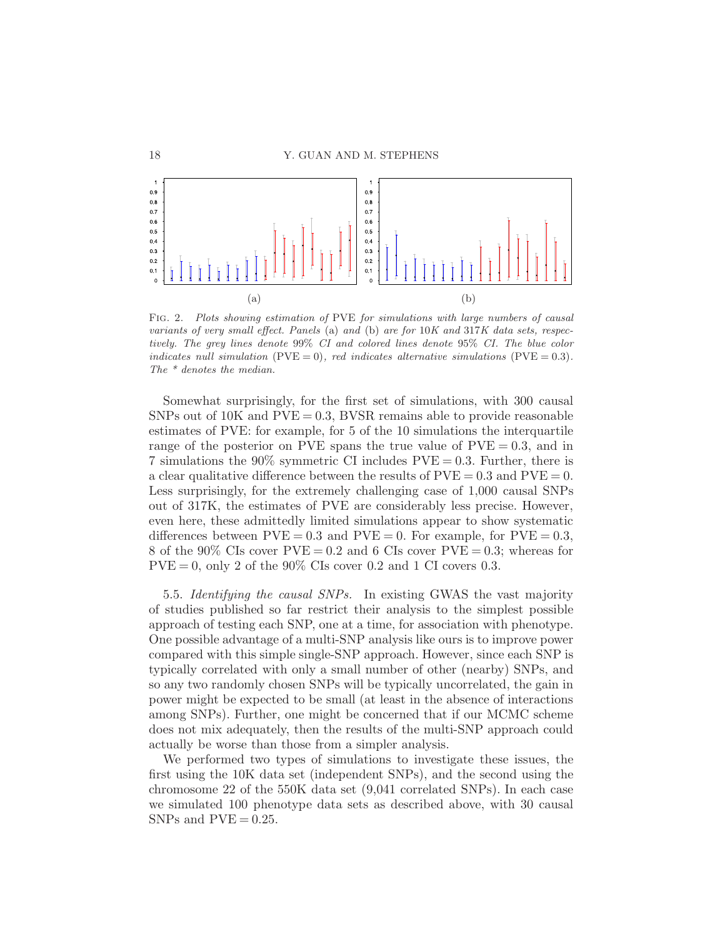

<span id="page-17-0"></span>Fig. 2. Plots showing estimation of PVE for simulations with large numbers of causal variants of very small effect. Panels (a) and (b) are for  $10K$  and  $317K$  data sets, respectively. The grey lines denote 99% CI and colored lines denote 95% CI. The blue color indicates null simulation ( $PVE = 0$ ), red indicates alternative simulations ( $PVE = 0.3$ ). The \* denotes the median.

Somewhat surprisingly, for the first set of simulations, with 300 causal SNPs out of  $10K$  and  $PVE = 0.3$ , BVSR remains able to provide reasonable estimates of PVE: for example, for 5 of the 10 simulations the interquartile range of the posterior on PVE spans the true value of  $PVE = 0.3$ , and in 7 simulations the 90% symmetric CI includes  $PVE = 0.3$ . Further, there is a clear qualitative difference between the results of  $PVE = 0.3$  and  $PVE = 0$ . Less surprisingly, for the extremely challenging case of 1,000 causal SNPs out of 317K, the estimates of PVE are considerably less precise. However, even here, these admittedly limited simulations appear to show systematic differences between  $PVE = 0.3$  and  $PVE = 0$ . For example, for  $PVE = 0.3$ , 8 of the 90% CIs cover  $PVE = 0.2$  and 6 CIs cover  $PVE = 0.3$ ; whereas for  $PVE = 0$ , only 2 of the 90% CIs cover 0.2 and 1 CI covers 0.3.

5.5. Identifying the causal SNPs. In existing GWAS the vast majority of studies published so far restrict their analysis to the simplest possible approach of testing each SNP, one at a time, for association with phenotype. One possible advantage of a multi-SNP analysis like ours is to improve power compared with this simple single-SNP approach. However, since each SNP is typically correlated with only a small number of other (nearby) SNPs, and so any two randomly chosen SNPs will be typically uncorrelated, the gain in power might be expected to be small (at least in the absence of interactions among SNPs). Further, one might be concerned that if our MCMC scheme does not mix adequately, then the results of the multi-SNP approach could actually be worse than those from a simpler analysis.

We performed two types of simulations to investigate these issues, the first using the 10K data set (independent SNPs), and the second using the chromosome 22 of the 550K data set (9,041 correlated SNPs). In each case we simulated 100 phenotype data sets as described above, with 30 causal SNPs and  $PVE = 0.25$ .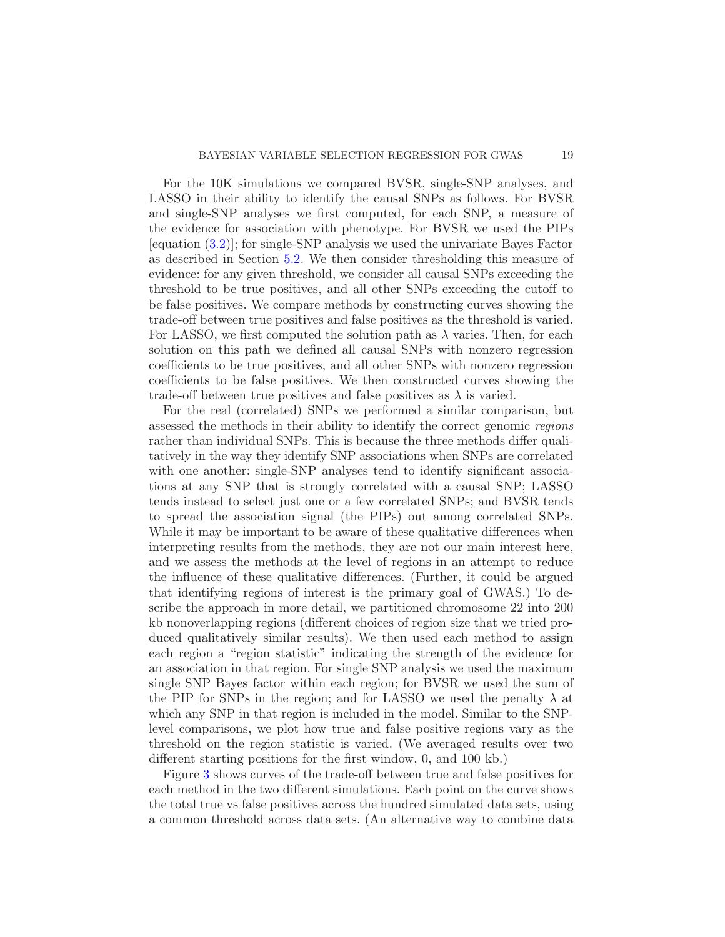For the 10K simulations we compared BVSR, single-SNP analyses, and LASSO in their ability to identify the causal SNPs as follows. For BVSR and single-SNP analyses we first computed, for each SNP, a measure of the evidence for association with phenotype. For BVSR we used the PIPs [equation [\(3.2\)](#page-9-0)]; for single-SNP analysis we used the univariate Bayes Factor as described in Section [5.2.](#page-14-0) We then consider thresholding this measure of evidence: for any given threshold, we consider all causal SNPs exceeding the threshold to be true positives, and all other SNPs exceeding the cutoff to be false positives. We compare methods by constructing curves showing the trade-off between true positives and false positives as the threshold is varied. For LASSO, we first computed the solution path as  $\lambda$  varies. Then, for each solution on this path we defined all causal SNPs with nonzero regression coefficients to be true positives, and all other SNPs with nonzero regression coefficients to be false positives. We then constructed curves showing the trade-off between true positives and false positives as  $\lambda$  is varied.

For the real (correlated) SNPs we performed a similar comparison, but assessed the methods in their ability to identify the correct genomic regions rather than individual SNPs. This is because the three methods differ qualitatively in the way they identify SNP associations when SNPs are correlated with one another: single-SNP analyses tend to identify significant associations at any SNP that is strongly correlated with a causal SNP; LASSO tends instead to select just one or a few correlated SNPs; and BVSR tends to spread the association signal (the PIPs) out among correlated SNPs. While it may be important to be aware of these qualitative differences when interpreting results from the methods, they are not our main interest here, and we assess the methods at the level of regions in an attempt to reduce the influence of these qualitative differences. (Further, it could be argued that identifying regions of interest is the primary goal of GWAS.) To describe the approach in more detail, we partitioned chromosome 22 into 200 kb nonoverlapping regions (different choices of region size that we tried produced qualitatively similar results). We then used each method to assign each region a "region statistic" indicating the strength of the evidence for an association in that region. For single SNP analysis we used the maximum single SNP Bayes factor within each region; for BVSR we used the sum of the PIP for SNPs in the region; and for LASSO we used the penalty  $\lambda$  at which any SNP in that region is included in the model. Similar to the SNPlevel comparisons, we plot how true and false positive regions vary as the threshold on the region statistic is varied. (We averaged results over two different starting positions for the first window, 0, and 100 kb.)

Figure [3](#page-19-0) shows curves of the trade-off between true and false positives for each method in the two different simulations. Each point on the curve shows the total true vs false positives across the hundred simulated data sets, using a common threshold across data sets. (An alternative way to combine data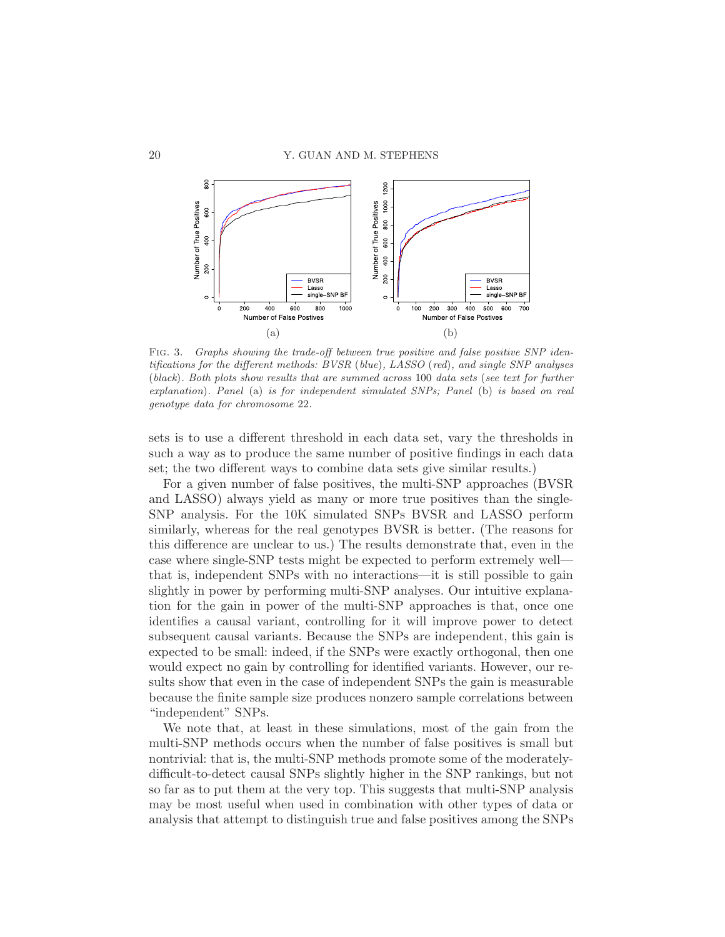

<span id="page-19-0"></span>FIG. 3. Graphs showing the trade-off between true positive and false positive SNP identifications for the different methods: BVSR (blue), LASSO (red), and single SNP analyses (black). Both plots show results that are summed across 100 data sets (see text for further explanation). Panel (a) is for independent simulated SNPs; Panel (b) is based on real genotype data for chromosome 22.

sets is to use a different threshold in each data set, vary the thresholds in such a way as to produce the same number of positive findings in each data set; the two different ways to combine data sets give similar results.)

For a given number of false positives, the multi-SNP approaches (BVSR and LASSO) always yield as many or more true positives than the single-SNP analysis. For the 10K simulated SNPs BVSR and LASSO perform similarly, whereas for the real genotypes BVSR is better. (The reasons for this difference are unclear to us.) The results demonstrate that, even in the case where single-SNP tests might be expected to perform extremely well that is, independent SNPs with no interactions—it is still possible to gain slightly in power by performing multi-SNP analyses. Our intuitive explanation for the gain in power of the multi-SNP approaches is that, once one identifies a causal variant, controlling for it will improve power to detect subsequent causal variants. Because the SNPs are independent, this gain is expected to be small: indeed, if the SNPs were exactly orthogonal, then one would expect no gain by controlling for identified variants. However, our results show that even in the case of independent SNPs the gain is measurable because the finite sample size produces nonzero sample correlations between "independent" SNPs.

We note that, at least in these simulations, most of the gain from the multi-SNP methods occurs when the number of false positives is small but nontrivial: that is, the multi-SNP methods promote some of the moderatelydifficult-to-detect causal SNPs slightly higher in the SNP rankings, but not so far as to put them at the very top. This suggests that multi-SNP analysis may be most useful when used in combination with other types of data or analysis that attempt to distinguish true and false positives among the SNPs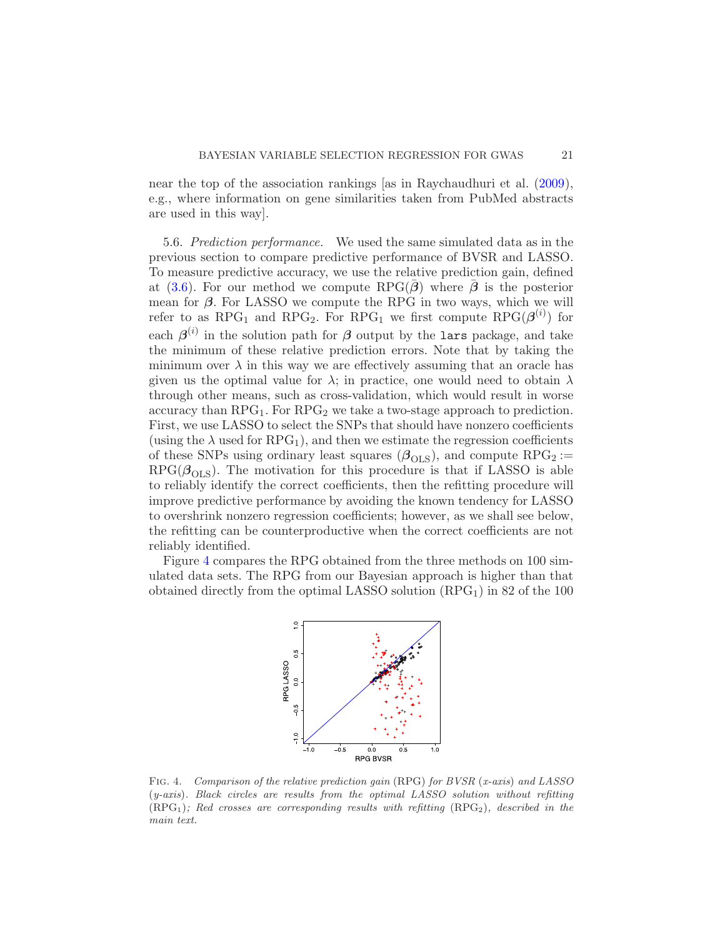near the top of the association rankings [as in Raychaudhuri et al. [\(2009](#page-36-15)), e.g., where information on gene similarities taken from PubMed abstracts are used in this way].

5.6. Prediction performance. We used the same simulated data as in the previous section to compare predictive performance of BVSR and LASSO. To measure predictive accuracy, we use the relative prediction gain, defined at [\(3.6\)](#page-10-0). For our method we compute RPG( $\beta$ ) where  $\beta$  is the posterior mean for  $\beta$ . For LASSO we compute the RPG in two ways, which we will refer to as RPG<sub>1</sub> and RPG<sub>2</sub>. For RPG<sub>1</sub> we first compute  $\text{RPG}(\beta^{(i)})$  for each  $\beta^{(i)}$  in the solution path for  $\beta$  output by the lars package, and take the minimum of these relative prediction errors. Note that by taking the minimum over  $\lambda$  in this way we are effectively assuming that an oracle has given us the optimal value for  $\lambda$ ; in practice, one would need to obtain  $\lambda$ through other means, such as cross-validation, which would result in worse accuracy than  $RPG<sub>1</sub>$ . For  $RPG<sub>2</sub>$  we take a two-stage approach to prediction. First, we use LASSO to select the SNPs that should have nonzero coefficients (using the  $\lambda$  used for  $\text{RPG}_1$ ), and then we estimate the regression coefficients of these SNPs using ordinary least squares  $(\beta_{OLS})$ , and compute RPG<sub>2</sub> :=  $RPG(\beta_{OLS})$ . The motivation for this procedure is that if LASSO is able to reliably identify the correct coefficients, then the refitting procedure will improve predictive performance by avoiding the known tendency for LASSO to overshrink nonzero regression coefficients; however, as we shall see below, the refitting can be counterproductive when the correct coefficients are not reliably identified.

Figure [4](#page-20-0) compares the RPG obtained from the three methods on 100 simulated data sets. The RPG from our Bayesian approach is higher than that obtained directly from the optimal LASSO solution  $(RPG<sub>1</sub>)$  in 82 of the 100



<span id="page-20-0"></span>FIG. 4. Comparison of the relative prediction gain (RPG) for BVSR (x-axis) and LASSO (y-axis). Black circles are results from the optimal LASSO solution without refitting  $(RPG<sub>1</sub>)$ ; Red crosses are corresponding results with refitting  $(RPG<sub>2</sub>)$ , described in the main text.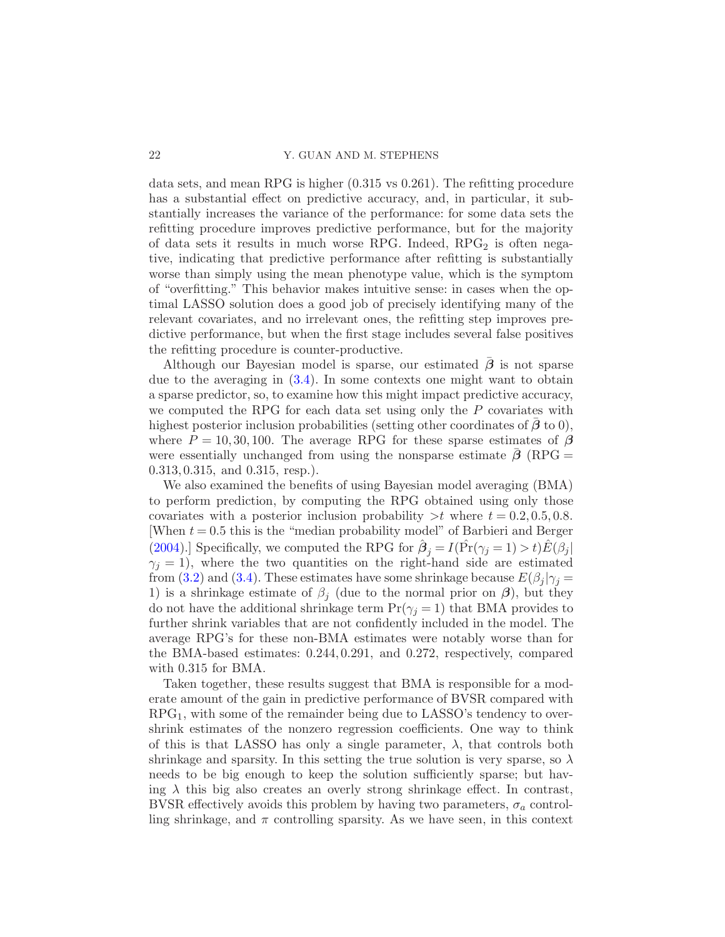data sets, and mean RPG is higher (0.315 vs 0.261). The refitting procedure has a substantial effect on predictive accuracy, and, in particular, it substantially increases the variance of the performance: for some data sets the refitting procedure improves predictive performance, but for the majority of data sets it results in much worse RPG. Indeed,  $RPG<sub>2</sub>$  is often negative, indicating that predictive performance after refitting is substantially worse than simply using the mean phenotype value, which is the symptom of "overfitting." This behavior makes intuitive sense: in cases when the optimal LASSO solution does a good job of precisely identifying many of the relevant covariates, and no irrelevant ones, the refitting step improves predictive performance, but when the first stage includes several false positives the refitting procedure is counter-productive.

Although our Bayesian model is sparse, our estimated  $\beta$  is not sparse due to the averaging in [\(3.4\)](#page-10-1). In some contexts one might want to obtain a sparse predictor, so, to examine how this might impact predictive accuracy, we computed the RPG for each data set using only the  $P$  covariates with highest posterior inclusion probabilities (setting other coordinates of  $\beta$  to 0), where  $P = 10, 30, 100$ . The average RPG for these sparse estimates of  $\beta$ were essentially unchanged from using the nonsparse estimate  $\beta$  (RPG = 0.313, 0.315, and 0.315, resp.).

We also examined the benefits of using Bayesian model averaging (BMA) to perform prediction, by computing the RPG obtained using only those covariates with a posterior inclusion probability  $>t$  where  $t = 0.2, 0.5, 0.8$ . When  $t = 0.5$  this is the "median probability model" of Barbieri and Berger [\(2004\)](#page-35-6).] Specifically, we computed the RPG for  $\hat{\beta}_j = I(\hat{\Pr}(\gamma_j = 1) > t)\hat{E}(\beta_j)$  $\gamma_i = 1$ , where the two quantities on the right-hand side are estimated from [\(3.2\)](#page-9-0) and [\(3.4\)](#page-10-1). These estimates have some shrinkage because  $E(\beta_i|\gamma_i=$ 1) is a shrinkage estimate of  $\beta_i$  (due to the normal prior on  $\beta$ ), but they do not have the additional shrinkage term  $Pr(\gamma_i = 1)$  that BMA provides to further shrink variables that are not confidently included in the model. The average RPG's for these non-BMA estimates were notably worse than for the BMA-based estimates: 0.244, 0.291, and 0.272, respectively, compared with 0.315 for BMA.

Taken together, these results suggest that BMA is responsible for a moderate amount of the gain in predictive performance of BVSR compared with RPG1, with some of the remainder being due to LASSO's tendency to overshrink estimates of the nonzero regression coefficients. One way to think of this is that LASSO has only a single parameter,  $\lambda$ , that controls both shrinkage and sparsity. In this setting the true solution is very sparse, so  $\lambda$ needs to be big enough to keep the solution sufficiently sparse; but having  $\lambda$  this big also creates an overly strong shrinkage effect. In contrast, BVSR effectively avoids this problem by having two parameters,  $\sigma_a$  controlling shrinkage, and  $\pi$  controlling sparsity. As we have seen, in this context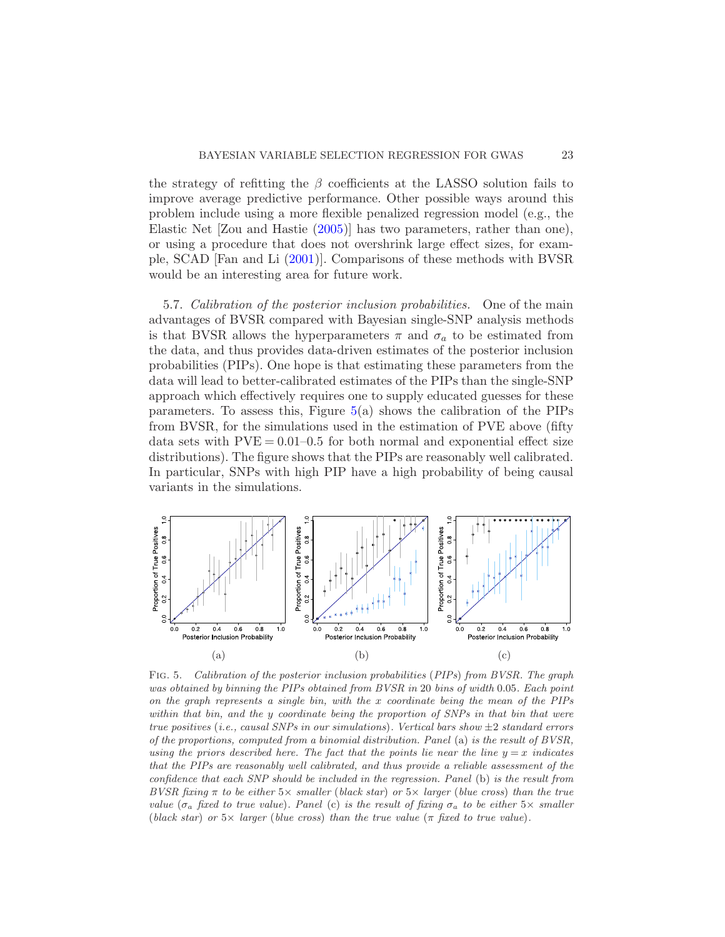the strategy of refitting the  $\beta$  coefficients at the LASSO solution fails to improve average predictive performance. Other possible ways around this problem include using a more flexible penalized regression model (e.g., the Elastic Net [Zou and Hastie [\(2005](#page-38-0))] has two parameters, rather than one), or using a procedure that does not overshrink large effect sizes, for example, SCAD [Fan and Li [\(2001\)](#page-35-7)]. Comparisons of these methods with BVSR would be an interesting area for future work.

5.7. Calibration of the posterior inclusion probabilities. One of the main advantages of BVSR compared with Bayesian single-SNP analysis methods is that BVSR allows the hyperparameters  $\pi$  and  $\sigma_a$  to be estimated from the data, and thus provides data-driven estimates of the posterior inclusion probabilities (PIPs). One hope is that estimating these parameters from the data will lead to better-calibrated estimates of the PIPs than the single-SNP approach which effectively requires one to supply educated guesses for these parameters. To assess this, Figure [5\(](#page-22-0)a) shows the calibration of the PIPs from BVSR, for the simulations used in the estimation of PVE above (fifty data sets with  $PVE = 0.01 - 0.5$  for both normal and exponential effect size distributions). The figure shows that the PIPs are reasonably well calibrated. In particular, SNPs with high PIP have a high probability of being causal variants in the simulations.



<span id="page-22-0"></span>Fig. 5. Calibration of the posterior inclusion probabilities (PIPs) from BVSR. The graph was obtained by binning the PIPs obtained from BVSR in 20 bins of width 0.05. Each point on the graph represents a single bin, with the x coordinate being the mean of the PIPs within that bin, and the y coordinate being the proportion of SNPs in that bin that were true positives (i.e., causal SNPs in our simulations). Vertical bars show  $\pm 2$  standard errors of the proportions, computed from a binomial distribution. Panel  $(a)$  is the result of BVSR, using the priors described here. The fact that the points lie near the line  $y = x$  indicates that the PIPs are reasonably well calibrated, and thus provide a reliable assessment of the confidence that each SNP should be included in the regression. Panel (b) is the result from BVSR fixing  $\pi$  to be either  $5\times$  smaller (black star) or  $5\times$  larger (blue cross) than the true value ( $\sigma_a$  fixed to true value). Panel (c) is the result of fixing  $\sigma_a$  to be either  $5\times$  smaller (black star) or  $5\times$  larger (blue cross) than the true value ( $\pi$  fixed to true value).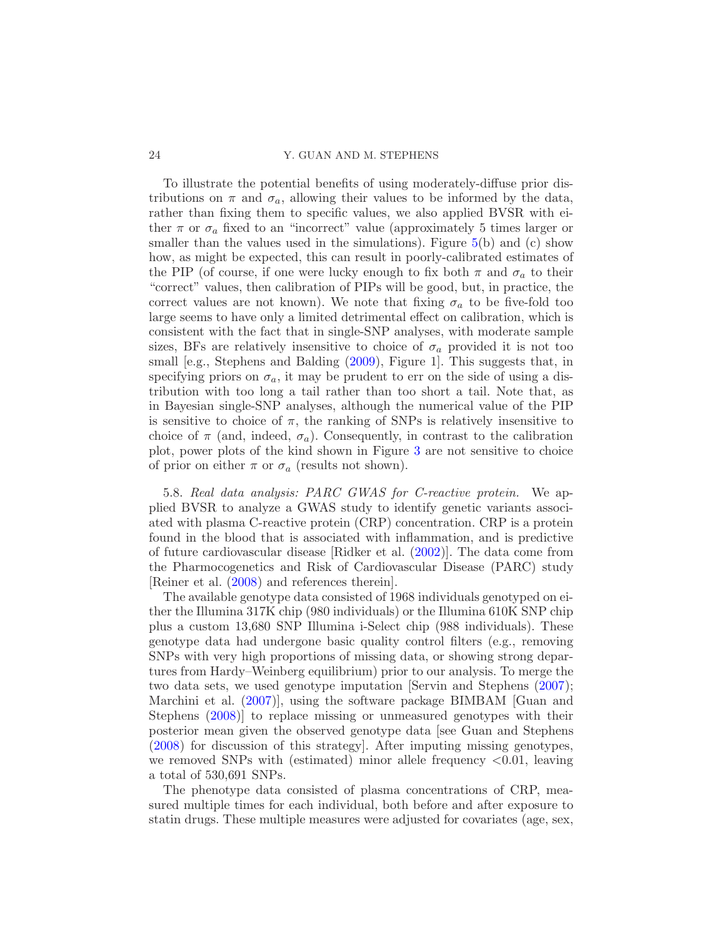To illustrate the potential benefits of using moderately-diffuse prior distributions on  $\pi$  and  $\sigma_a$ , allowing their values to be informed by the data, rather than fixing them to specific values, we also applied BVSR with either  $\pi$  or  $\sigma_a$  fixed to an "incorrect" value (approximately 5 times larger or smaller than the values used in the simulations). Figure  $5(b)$  $5(b)$  and  $(c)$  show how, as might be expected, this can result in poorly-calibrated estimates of the PIP (of course, if one were lucky enough to fix both  $\pi$  and  $\sigma_a$  to their "correct" values, then calibration of PIPs will be good, but, in practice, the correct values are not known). We note that fixing  $\sigma_a$  to be five-fold too large seems to have only a limited detrimental effect on calibration, which is consistent with the fact that in single-SNP analyses, with moderate sample sizes, BFs are relatively insensitive to choice of  $\sigma_a$  provided it is not too small [e.g., Stephens and Balding [\(2009](#page-37-11)), Figure 1]. This suggests that, in specifying priors on  $\sigma_a$ , it may be prudent to err on the side of using a distribution with too long a tail rather than too short a tail. Note that, as in Bayesian single-SNP analyses, although the numerical value of the PIP is sensitive to choice of  $\pi$ , the ranking of SNPs is relatively insensitive to choice of  $\pi$  (and, indeed,  $\sigma_a$ ). Consequently, in contrast to the calibration plot, power plots of the kind shown in Figure [3](#page-19-0) are not sensitive to choice of prior on either  $\pi$  or  $\sigma_a$  (results not shown).

5.8. Real data analysis: PARC GWAS for C-reactive protein. We applied BVSR to analyze a GWAS study to identify genetic variants associated with plasma C-reactive protein (CRP) concentration. CRP is a protein found in the blood that is associated with inflammation, and is predictive of future cardiovascular disease [Ridker et al. [\(2002](#page-37-12))]. The data come from the Pharmocogenetics and Risk of Cardiovascular Disease (PARC) study [Reiner et al. [\(2008](#page-37-9)) and references therein].

The available genotype data consisted of 1968 individuals genotyped on either the Illumina 317K chip (980 individuals) or the Illumina 610K SNP chip plus a custom 13,680 SNP Illumina i-Select chip (988 individuals). These genotype data had undergone basic quality control filters (e.g., removing SNPs with very high proportions of missing data, or showing strong departures from Hardy–Weinberg equilibrium) prior to our analysis. To merge the two data sets, we used genotype imputation [Servin and Stephens [\(2007](#page-37-5)); Marchini et al. [\(2007](#page-36-16))], using the software package BIMBAM [Guan and Stephens [\(2008](#page-36-13))] to replace missing or unmeasured genotypes with their posterior mean given the observed genotype data [see Guan and Stephens [\(2008\)](#page-36-13) for discussion of this strategy]. After imputing missing genotypes, we removed SNPs with (estimated) minor allele frequency  $\langle 0.01, \text{ leaving} \rangle$ a total of 530,691 SNPs.

The phenotype data consisted of plasma concentrations of CRP, measured multiple times for each individual, both before and after exposure to statin drugs. These multiple measures were adjusted for covariates (age, sex,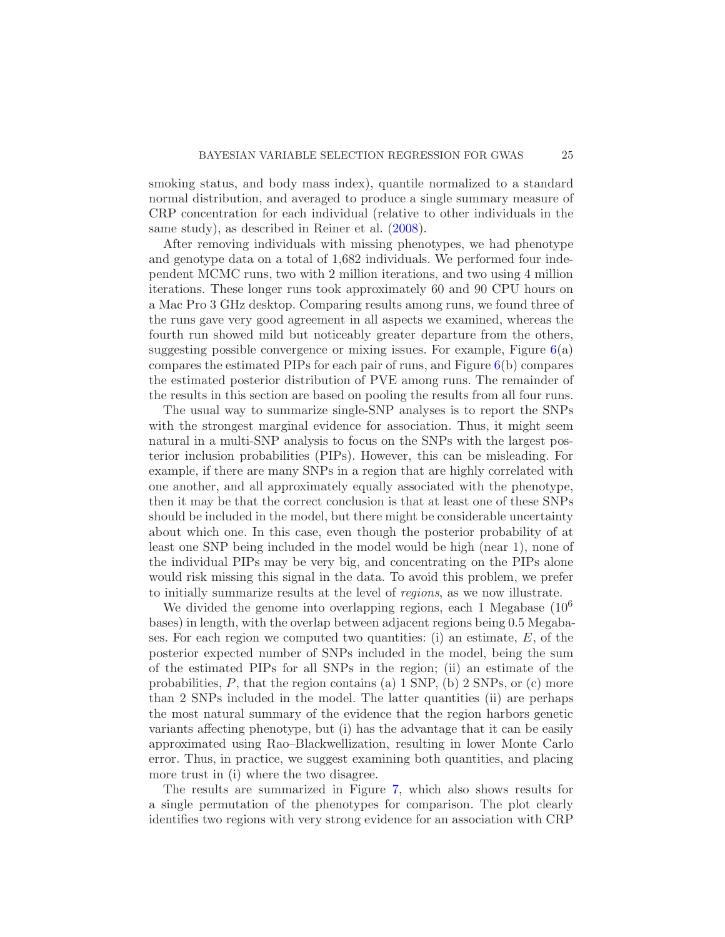smoking status, and body mass index), quantile normalized to a standard normal distribution, and averaged to produce a single summary measure of CRP concentration for each individual (relative to other individuals in the same study), as described in Reiner et al. [\(2008](#page-37-9)).

After removing individuals with missing phenotypes, we had phenotype and genotype data on a total of 1,682 individuals. We performed four independent MCMC runs, two with 2 million iterations, and two using 4 million iterations. These longer runs took approximately 60 and 90 CPU hours on a Mac Pro 3 GHz desktop. Comparing results among runs, we found three of the runs gave very good agreement in all aspects we examined, whereas the fourth run showed mild but noticeably greater departure from the others, suggesting possible convergence or mixing issues. For example, Figure  $6(a)$  $6(a)$ compares the estimated PIPs for each pair of runs, and Figure  $6(b)$  $6(b)$  compares the estimated posterior distribution of PVE among runs. The remainder of the results in this section are based on pooling the results from all four runs.

The usual way to summarize single-SNP analyses is to report the SNPs with the strongest marginal evidence for association. Thus, it might seem natural in a multi-SNP analysis to focus on the SNPs with the largest posterior inclusion probabilities (PIPs). However, this can be misleading. For example, if there are many SNPs in a region that are highly correlated with one another, and all approximately equally associated with the phenotype, then it may be that the correct conclusion is that at least one of these SNPs should be included in the model, but there might be considerable uncertainty about which one. In this case, even though the posterior probability of at least one SNP being included in the model would be high (near 1), none of the individual PIPs may be very big, and concentrating on the PIPs alone would risk missing this signal in the data. To avoid this problem, we prefer to initially summarize results at the level of regions, as we now illustrate.

We divided the genome into overlapping regions, each 1 Megabase  $(10^6)$ bases) in length, with the overlap between adjacent regions being 0.5 Megabases. For each region we computed two quantities: (i) an estimate,  $E$ , of the posterior expected number of SNPs included in the model, being the sum of the estimated PIPs for all SNPs in the region; (ii) an estimate of the probabilities,  $P$ , that the region contains (a) 1 SNP, (b) 2 SNPs, or (c) more than 2 SNPs included in the model. The latter quantities (ii) are perhaps the most natural summary of the evidence that the region harbors genetic variants affecting phenotype, but (i) has the advantage that it can be easily approximated using Rao–Blackwellization, resulting in lower Monte Carlo error. Thus, in practice, we suggest examining both quantities, and placing more trust in (i) where the two disagree.

The results are summarized in Figure [7,](#page-27-0) which also shows results for a single permutation of the phenotypes for comparison. The plot clearly identifies two regions with very strong evidence for an association with CRP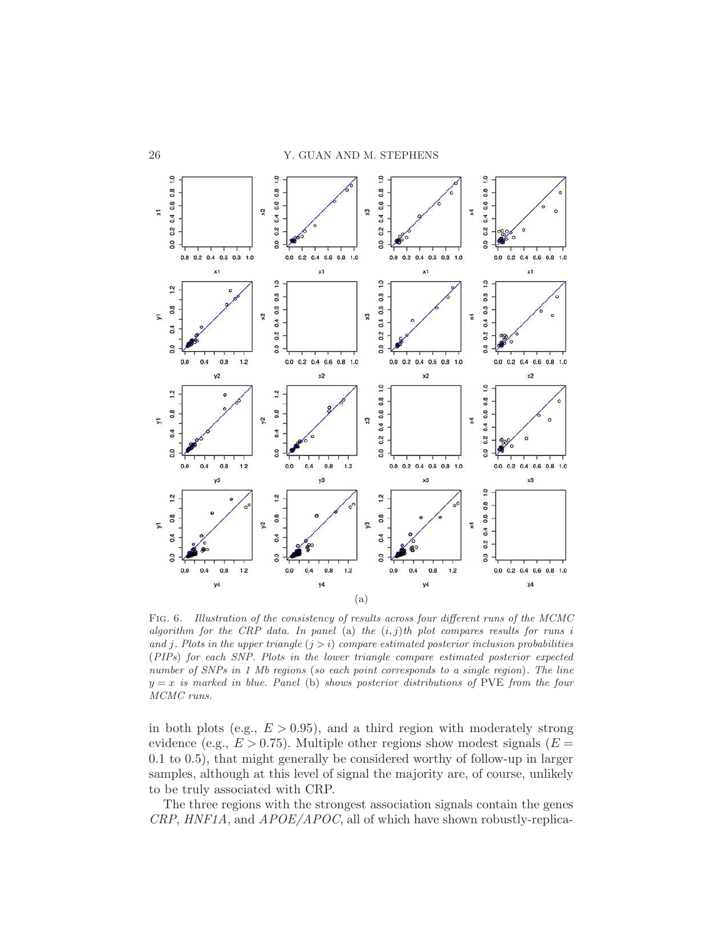

Fig. 6. Illustration of the consistency of results across four different runs of the MCMC algorithm for the CRP data. In panel (a) the  $(i, j)$ th plot compares results for runs i and j. Plots in the upper triangle  $(j > i)$  compare estimated posterior inclusion probabilities (PIPs) for each SNP. Plots in the lower triangle compare estimated posterior expected number of SNPs in 1 Mb regions (so each point corresponds to a single region). The line  $y = x$  is marked in blue. Panel (b) shows posterior distributions of PVE from the four MCMC runs.

in both plots (e.g.,  $E > 0.95$ ), and a third region with moderately strong evidence (e.g.,  $E > 0.75$ ). Multiple other regions show modest signals ( $E =$ 0.1 to 0.5), that might generally be considered worthy of follow-up in larger samples, although at this level of signal the majority are, of course, unlikely to be truly associated with CRP.

The three regions with the strongest association signals contain the genes CRP, HNF1A, and APOE/APOC, all of which have shown robustly-replica-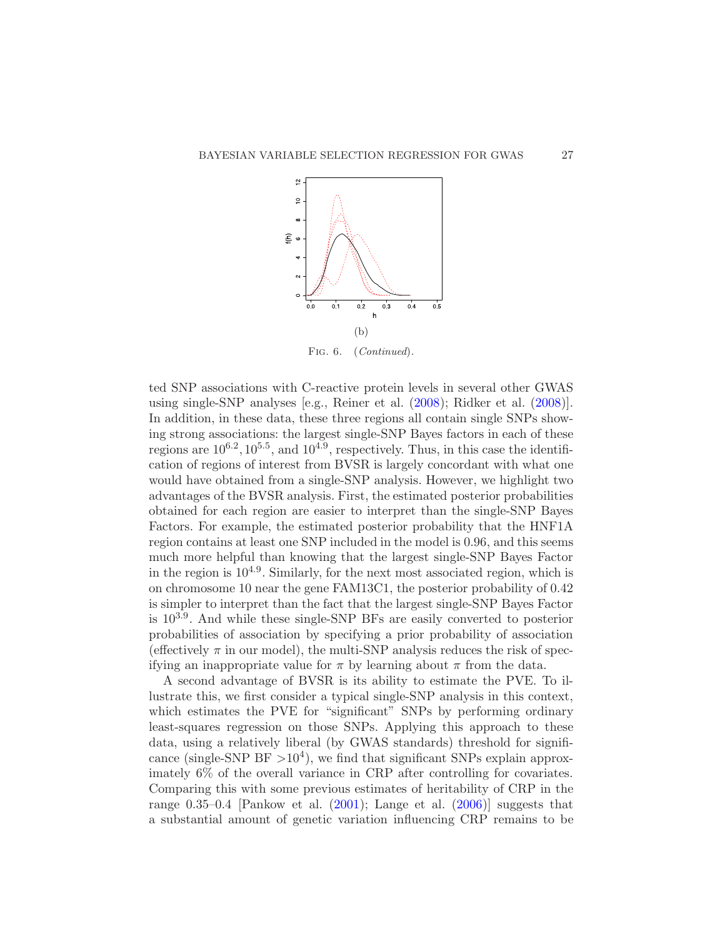

<span id="page-26-0"></span>FIG. 6. (*Continued*).

ted SNP associations with C-reactive protein levels in several other GWAS using single-SNP analyses [e.g., Reiner et al. [\(2008](#page-37-9)); Ridker et al. [\(2008](#page-37-13))]. In addition, in these data, these three regions all contain single SNPs showing strong associations: the largest single-SNP Bayes factors in each of these regions are  $10^{6.2}$ ,  $10^{5.5}$ , and  $10^{4.9}$ , respectively. Thus, in this case the identification of regions of interest from BVSR is largely concordant with what one would have obtained from a single-SNP analysis. However, we highlight two advantages of the BVSR analysis. First, the estimated posterior probabilities obtained for each region are easier to interpret than the single-SNP Bayes Factors. For example, the estimated posterior probability that the HNF1A region contains at least one SNP included in the model is 0.96, and this seems much more helpful than knowing that the largest single-SNP Bayes Factor in the region is  $10^{4.9}$ . Similarly, for the next most associated region, which is on chromosome 10 near the gene FAM13C1, the posterior probability of 0.42 is simpler to interpret than the fact that the largest single-SNP Bayes Factor is  $10^{3.9}$ . And while these single-SNP BFs are easily converted to posterior probabilities of association by specifying a prior probability of association (effectively  $\pi$  in our model), the multi-SNP analysis reduces the risk of specifying an inappropriate value for  $\pi$  by learning about  $\pi$  from the data.

A second advantage of BVSR is its ability to estimate the PVE. To illustrate this, we first consider a typical single-SNP analysis in this context, which estimates the PVE for "significant" SNPs by performing ordinary least-squares regression on those SNPs. Applying this approach to these data, using a relatively liberal (by GWAS standards) threshold for significance (single-SNP BF  $>10^4$ ), we find that significant SNPs explain approximately 6% of the overall variance in CRP after controlling for covariates. Comparing this with some previous estimates of heritability of CRP in the range  $0.35-0.4$  [Pankow et al.  $(2001)$ ; Lange et al.  $(2006)$ ] suggests that a substantial amount of genetic variation influencing CRP remains to be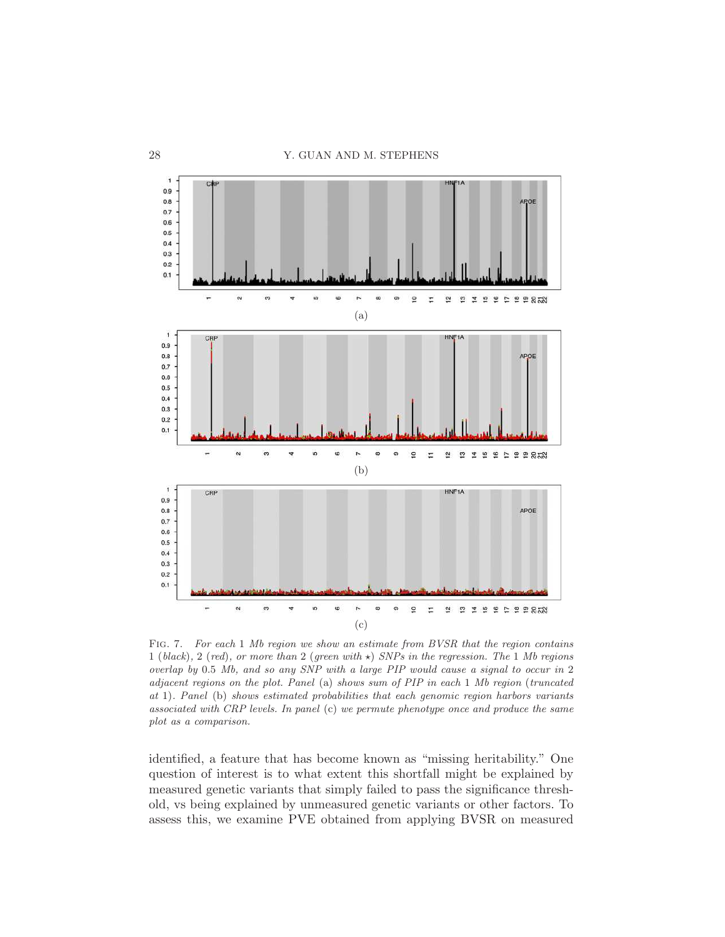

<span id="page-27-0"></span>Fig. 7. For each 1 Mb region we show an estimate from BVSR that the region contains 1 (black), 2 (red), or more than 2 (green with  $\star$ ) SNPs in the regression. The 1 Mb regions overlap by 0.5 Mb, and so any SNP with a large PIP would cause a signal to occur in 2 adjacent regions on the plot. Panel (a) shows sum of PIP in each 1 Mb region (truncated at 1). Panel (b) shows estimated probabilities that each genomic region harbors variants associated with CRP levels. In panel (c) we permute phenotype once and produce the same plot as a comparison.

identified, a feature that has become known as "missing heritability." One question of interest is to what extent this shortfall might be explained by measured genetic variants that simply failed to pass the significance threshold, vs being explained by unmeasured genetic variants or other factors. To assess this, we examine PVE obtained from applying BVSR on measured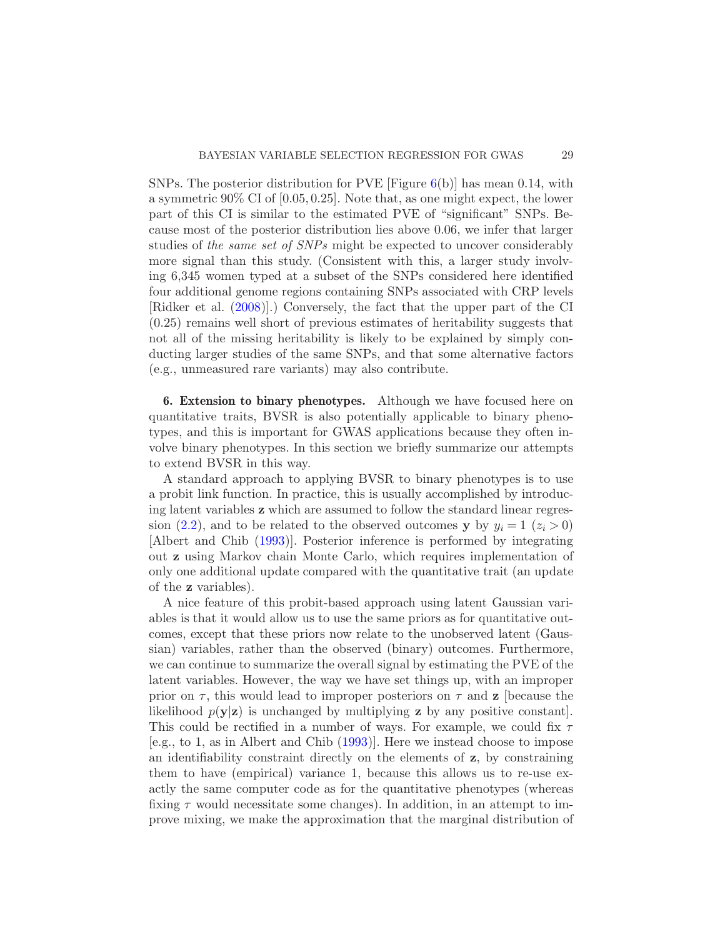SNPs. The posterior distribution for PVE [Figure  $6(b)$  $6(b)$ ] has mean 0.14, with a symmetric 90% CI of [0.05, 0.25]. Note that, as one might expect, the lower part of this CI is similar to the estimated PVE of "significant" SNPs. Because most of the posterior distribution lies above 0.06, we infer that larger studies of the same set of SNPs might be expected to uncover considerably more signal than this study. (Consistent with this, a larger study involving 6,345 women typed at a subset of the SNPs considered here identified four additional genome regions containing SNPs associated with CRP levels [Ridker et al. [\(2008](#page-37-13))].) Conversely, the fact that the upper part of the CI (0.25) remains well short of previous estimates of heritability suggests that not all of the missing heritability is likely to be explained by simply conducting larger studies of the same SNPs, and that some alternative factors (e.g., unmeasured rare variants) may also contribute.

<span id="page-28-0"></span>6. Extension to binary phenotypes. Although we have focused here on quantitative traits, BVSR is also potentially applicable to binary phenotypes, and this is important for GWAS applications because they often involve binary phenotypes. In this section we briefly summarize our attempts to extend BVSR in this way.

A standard approach to applying BVSR to binary phenotypes is to use a probit link function. In practice, this is usually accomplished by introducing latent variables z which are assumed to follow the standard linear regres-sion [\(2.2\)](#page-4-1), and to be related to the observed outcomes y by  $y_i = 1$  ( $z_i > 0$ ) [Albert and Chib [\(1993\)](#page-35-8)]. Posterior inference is performed by integrating out z using Markov chain Monte Carlo, which requires implementation of only one additional update compared with the quantitative trait (an update of the z variables).

A nice feature of this probit-based approach using latent Gaussian variables is that it would allow us to use the same priors as for quantitative outcomes, except that these priors now relate to the unobserved latent (Gaussian) variables, rather than the observed (binary) outcomes. Furthermore, we can continue to summarize the overall signal by estimating the PVE of the latent variables. However, the way we have set things up, with an improper prior on  $\tau$ , this would lead to improper posteriors on  $\tau$  and **z** [because the likelihood  $p(\mathbf{y}|\mathbf{z})$  is unchanged by multiplying z by any positive constant. This could be rectified in a number of ways. For example, we could fix  $\tau$ [e.g., to 1, as in Albert and Chib [\(1993\)](#page-35-8)]. Here we instead choose to impose an identifiability constraint directly on the elements of z, by constraining them to have (empirical) variance 1, because this allows us to re-use exactly the same computer code as for the quantitative phenotypes (whereas fixing  $\tau$  would necessitate some changes). In addition, in an attempt to improve mixing, we make the approximation that the marginal distribution of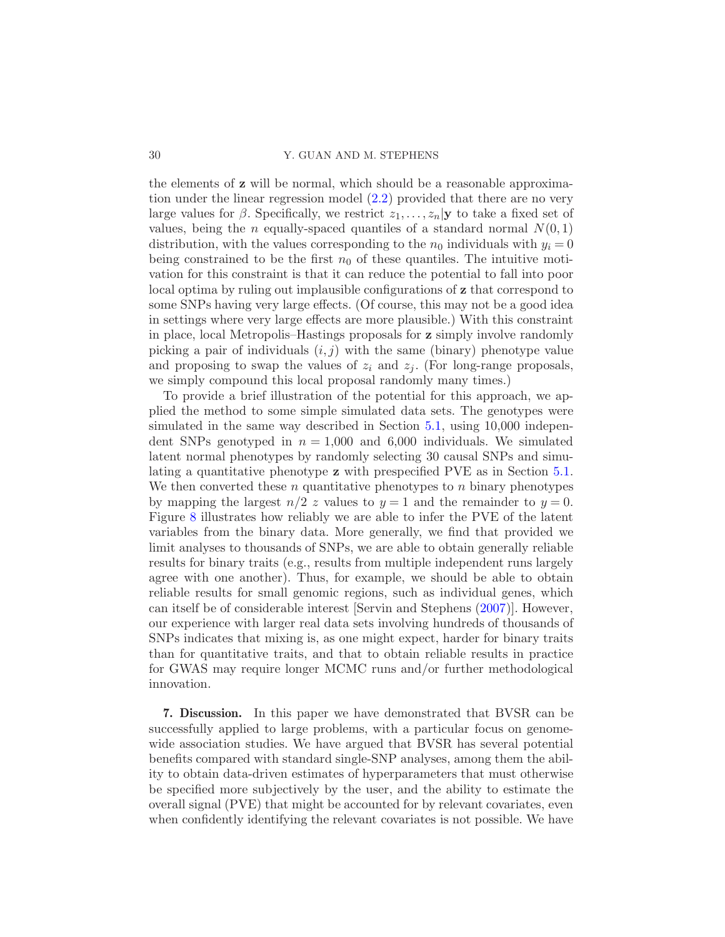the elements of z will be normal, which should be a reasonable approximation under the linear regression model [\(2.2\)](#page-4-1) provided that there are no very large values for  $\beta$ . Specifically, we restrict  $z_1, \ldots, z_n | y$  to take a fixed set of values, being the *n* equally-spaced quantiles of a standard normal  $N(0, 1)$ distribution, with the values corresponding to the  $n_0$  individuals with  $y_i = 0$ being constrained to be the first  $n_0$  of these quantiles. The intuitive motivation for this constraint is that it can reduce the potential to fall into poor local optima by ruling out implausible configurations of z that correspond to some SNPs having very large effects. (Of course, this may not be a good idea in settings where very large effects are more plausible.) With this constraint in place, local Metropolis–Hastings proposals for z simply involve randomly picking a pair of individuals  $(i, j)$  with the same (binary) phenotype value and proposing to swap the values of  $z_i$  and  $z_j$ . (For long-range proposals, we simply compound this local proposal randomly many times.)

To provide a brief illustration of the potential for this approach, we applied the method to some simple simulated data sets. The genotypes were simulated in the same way described in Section [5.1,](#page-13-0) using 10,000 independent SNPs genotyped in  $n = 1,000$  and 6,000 individuals. We simulated latent normal phenotypes by randomly selecting 30 causal SNPs and simulating a quantitative phenotype z with prespecified PVE as in Section [5.1.](#page-13-0) We then converted these  $n$  quantitative phenotypes to  $n$  binary phenotypes by mapping the largest  $n/2$  z values to  $y = 1$  and the remainder to  $y = 0$ . Figure [8](#page-30-0) illustrates how reliably we are able to infer the PVE of the latent variables from the binary data. More generally, we find that provided we limit analyses to thousands of SNPs, we are able to obtain generally reliable results for binary traits (e.g., results from multiple independent runs largely agree with one another). Thus, for example, we should be able to obtain reliable results for small genomic regions, such as individual genes, which can itself be of considerable interest [Servin and Stephens [\(2007](#page-37-5))]. However, our experience with larger real data sets involving hundreds of thousands of SNPs indicates that mixing is, as one might expect, harder for binary traits than for quantitative traits, and that to obtain reliable results in practice for GWAS may require longer MCMC runs and/or further methodological innovation.

<span id="page-29-0"></span>7. Discussion. In this paper we have demonstrated that BVSR can be successfully applied to large problems, with a particular focus on genomewide association studies. We have argued that BVSR has several potential benefits compared with standard single-SNP analyses, among them the ability to obtain data-driven estimates of hyperparameters that must otherwise be specified more subjectively by the user, and the ability to estimate the overall signal (PVE) that might be accounted for by relevant covariates, even when confidently identifying the relevant covariates is not possible. We have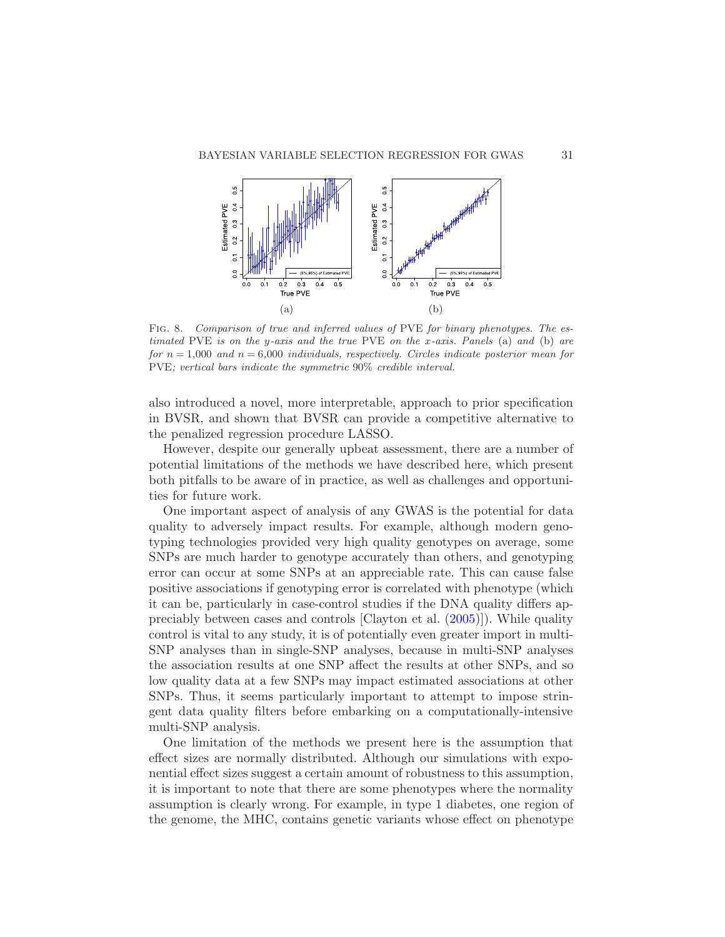

<span id="page-30-0"></span>Fig. 8. Comparison of true and inferred values of PVE for binary phenotypes. The estimated PVE is on the y-axis and the true PVE on the x-axis. Panels (a) and (b) are for  $n = 1,000$  and  $n = 6,000$  individuals, respectively. Circles indicate posterior mean for PVE; vertical bars indicate the symmetric 90% credible interval.

also introduced a novel, more interpretable, approach to prior specification in BVSR, and shown that BVSR can provide a competitive alternative to the penalized regression procedure LASSO.

However, despite our generally upbeat assessment, there are a number of potential limitations of the methods we have described here, which present both pitfalls to be aware of in practice, as well as challenges and opportunities for future work.

One important aspect of analysis of any GWAS is the potential for data quality to adversely impact results. For example, although modern genotyping technologies provided very high quality genotypes on average, some SNPs are much harder to genotype accurately than others, and genotyping error can occur at some SNPs at an appreciable rate. This can cause false positive associations if genotyping error is correlated with phenotype (which it can be, particularly in case-control studies if the DNA quality differs appreciably between cases and controls [Clayton et al. [\(2005](#page-35-9))]). While quality control is vital to any study, it is of potentially even greater import in multi-SNP analyses than in single-SNP analyses, because in multi-SNP analyses the association results at one SNP affect the results at other SNPs, and so low quality data at a few SNPs may impact estimated associations at other SNPs. Thus, it seems particularly important to attempt to impose stringent data quality filters before embarking on a computationally-intensive multi-SNP analysis.

One limitation of the methods we present here is the assumption that effect sizes are normally distributed. Although our simulations with exponential effect sizes suggest a certain amount of robustness to this assumption, it is important to note that there are some phenotypes where the normality assumption is clearly wrong. For example, in type 1 diabetes, one region of the genome, the MHC, contains genetic variants whose effect on phenotype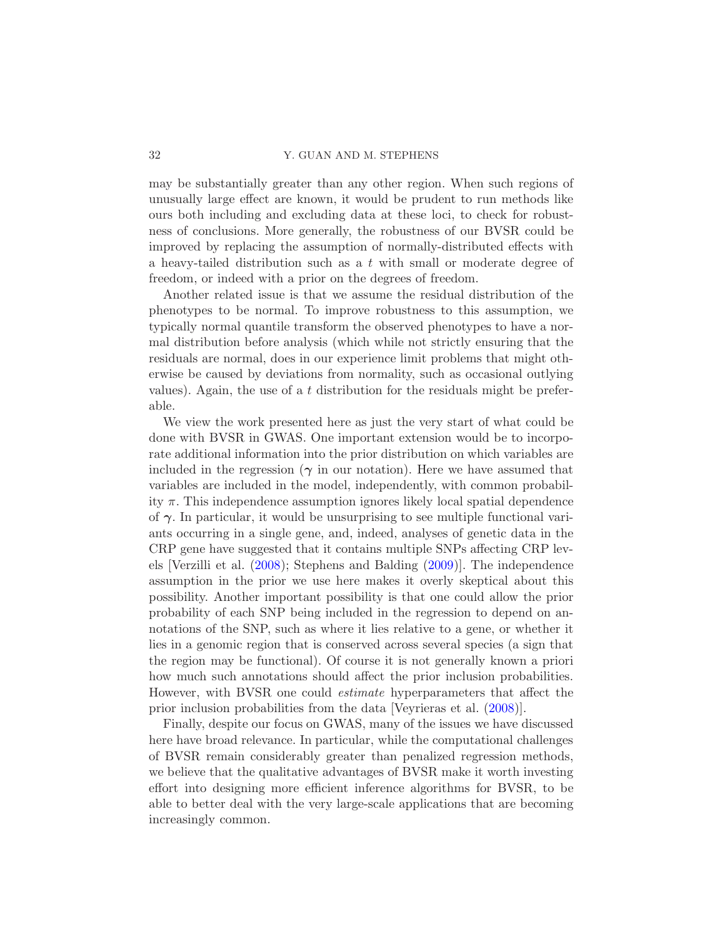may be substantially greater than any other region. When such regions of unusually large effect are known, it would be prudent to run methods like ours both including and excluding data at these loci, to check for robustness of conclusions. More generally, the robustness of our BVSR could be improved by replacing the assumption of normally-distributed effects with a heavy-tailed distribution such as a  $t$  with small or moderate degree of freedom, or indeed with a prior on the degrees of freedom.

Another related issue is that we assume the residual distribution of the phenotypes to be normal. To improve robustness to this assumption, we typically normal quantile transform the observed phenotypes to have a normal distribution before analysis (which while not strictly ensuring that the residuals are normal, does in our experience limit problems that might otherwise be caused by deviations from normality, such as occasional outlying values). Again, the use of a  $t$  distribution for the residuals might be preferable.

We view the work presented here as just the very start of what could be done with BVSR in GWAS. One important extension would be to incorporate additional information into the prior distribution on which variables are included in the regression ( $\gamma$  in our notation). Here we have assumed that variables are included in the model, independently, with common probability  $\pi$ . This independence assumption ignores likely local spatial dependence of  $\gamma$ . In particular, it would be unsurprising to see multiple functional variants occurring in a single gene, and, indeed, analyses of genetic data in the CRP gene have suggested that it contains multiple SNPs affecting CRP levels [Verzilli et al. [\(2008](#page-37-14)); Stephens and Balding [\(2009](#page-37-11))]. The independence assumption in the prior we use here makes it overly skeptical about this possibility. Another important possibility is that one could allow the prior probability of each SNP being included in the regression to depend on annotations of the SNP, such as where it lies relative to a gene, or whether it lies in a genomic region that is conserved across several species (a sign that the region may be functional). Of course it is not generally known a priori how much such annotations should affect the prior inclusion probabilities. However, with BVSR one could estimate hyperparameters that affect the prior inclusion probabilities from the data [Veyrieras et al. [\(2008](#page-37-15))].

Finally, despite our focus on GWAS, many of the issues we have discussed here have broad relevance. In particular, while the computational challenges of BVSR remain considerably greater than penalized regression methods, we believe that the qualitative advantages of BVSR make it worth investing effort into designing more efficient inference algorithms for BVSR, to be able to better deal with the very large-scale applications that are becoming increasingly common.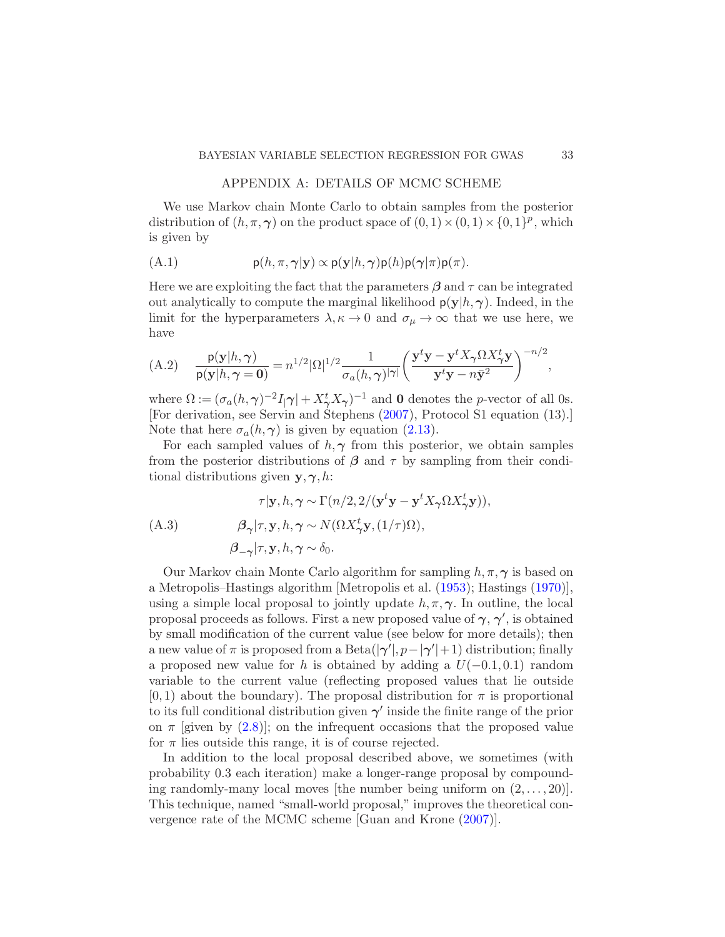# APPENDIX A: DETAILS OF MCMC SCHEME

<span id="page-32-0"></span>We use Markov chain Monte Carlo to obtain samples from the posterior distribution of  $(h, \pi, \gamma)$  on the product space of  $(0, 1) \times (0, 1) \times \{0, 1\}^p$ , which is given by

(A.1) 
$$
p(h, \pi, \gamma | \mathbf{y}) \propto p(\mathbf{y} | h, \gamma) p(h) p(\gamma | \pi) p(\pi).
$$

Here we are exploiting the fact that the parameters  $\beta$  and  $\tau$  can be integrated out analytically to compute the marginal likelihood  $p(y|h, \gamma)$ . Indeed, in the limit for the hyperparameters  $\lambda, \kappa \to 0$  and  $\sigma_{\mu} \to \infty$  that we use here, we have

<span id="page-32-1"></span>(A.2) 
$$
\frac{\mathsf{p}(\mathbf{y}|h,\boldsymbol{\gamma})}{\mathsf{p}(\mathbf{y}|h,\boldsymbol{\gamma}=\mathbf{0})} = n^{1/2} |\Omega|^{1/2} \frac{1}{\sigma_a(h,\boldsymbol{\gamma})^{|\boldsymbol{\gamma}|}} \left(\frac{\mathbf{y}^t \mathbf{y} - \mathbf{y}^t \mathbf{X}_{\boldsymbol{\gamma}} \Omega \mathbf{X}_{\boldsymbol{\gamma}}^t \mathbf{y}}{\mathbf{y}^t \mathbf{y} - n\bar{\mathbf{y}}^2}\right)^{-n/2},
$$

where  $\Omega := (\sigma_a(h, \gamma)^{-2} I_{\vert \gamma \vert} + X^t_{\gamma} X_{\gamma})^{-1}$  and **0** denotes the *p*-vector of all 0s. [For derivation, see Servin and Stephens [\(2007](#page-37-5)), Protocol S1 equation (13).] Note that here  $\sigma_a(h,\gamma)$  is given by equation [\(2.13\)](#page-7-2).

For each sampled values of  $h, \gamma$  from this posterior, we obtain samples from the posterior distributions of  $\beta$  and  $\tau$  by sampling from their conditional distributions given  $y, \gamma, h$ :

(A.3)  
\n
$$
\tau|\mathbf{y}, h, \gamma \sim \Gamma(n/2, 2/(\mathbf{y}^t \mathbf{y} - \mathbf{y}^t X_{\gamma} \Omega X_{\gamma}^t \mathbf{y})),
$$
\n
$$
\beta_{\gamma}|\tau, \mathbf{y}, h, \gamma \sim N(\Omega X_{\gamma}^t \mathbf{y}, (1/\tau)\Omega),
$$
\n
$$
\beta_{-\gamma}|\tau, \mathbf{y}, h, \gamma \sim \delta_0.
$$

Our Markov chain Monte Carlo algorithm for sampling  $h, \pi, \gamma$  is based on a Metropolis–Hastings algorithm [Metropolis et al. [\(1953](#page-36-10)); Hastings [\(1970](#page-36-11))], using a simple local proposal to jointly update  $h, \pi, \gamma$ . In outline, the local proposal proceeds as follows. First a new proposed value of  $\gamma$ ,  $\gamma'$ , is obtained by small modification of the current value (see below for more details); then a new value of  $\pi$  is proposed from a Beta $(|\gamma'|, p - |\gamma'| + 1)$  distribution; finally a proposed new value for h is obtained by adding a  $U(-0.1, 0.1)$  random variable to the current value (reflecting proposed values that lie outside  $[0, 1)$  about the boundary). The proposal distribution for  $\pi$  is proportional to its full conditional distribution given  $\gamma'$  inside the finite range of the prior on  $\pi$  [given by [\(2.8\)](#page-5-0)]; on the infrequent occasions that the proposed value for  $\pi$  lies outside this range, it is of course rejected.

In addition to the local proposal described above, we sometimes (with probability 0.3 each iteration) make a longer-range proposal by compounding randomly-many local moves [the number being uniform on  $(2, \ldots, 20)$ ]. This technique, named "small-world proposal," improves the theoretical convergence rate of the MCMC scheme [Guan and Krone [\(2007](#page-36-12))].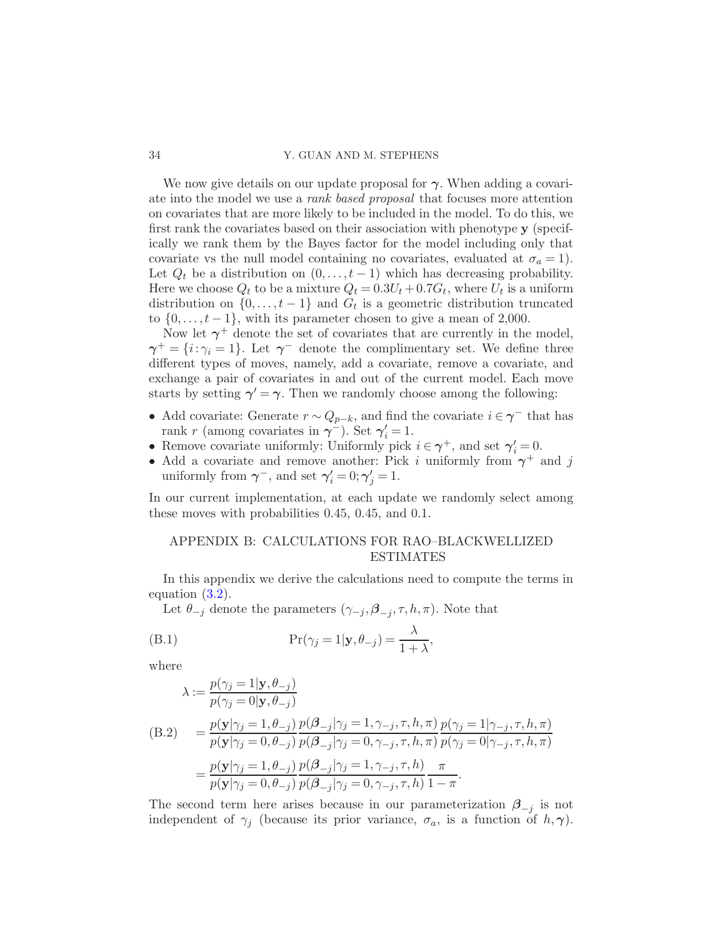We now give details on our update proposal for  $\gamma$ . When adding a covariate into the model we use a rank based proposal that focuses more attention on covariates that are more likely to be included in the model. To do this, we first rank the covariates based on their association with phenotype y (specifically we rank them by the Bayes factor for the model including only that covariate vs the null model containing no covariates, evaluated at  $\sigma_a = 1$ ). Let  $Q_t$  be a distribution on  $(0, \ldots, t-1)$  which has decreasing probability. Here we choose  $Q_t$  to be a mixture  $Q_t = 0.3U_t + 0.7G_t$ , where  $U_t$  is a uniform distribution on  $\{0, \ldots, t-1\}$  and  $G_t$  is a geometric distribution truncated to  $\{0, \ldots, t-1\}$ , with its parameter chosen to give a mean of 2,000.

Now let  $\gamma^+$  denote the set of covariates that are currently in the model,  $\gamma^+ = \{i : \gamma_i = 1\}$ . Let  $\gamma^-$  denote the complimentary set. We define three different types of moves, namely, add a covariate, remove a covariate, and exchange a pair of covariates in and out of the current model. Each move starts by setting  $\gamma' = \gamma$ . Then we randomly choose among the following:

- Add covariate: Generate  $r \sim Q_{p-k}$ , and find the covariate  $i \in \gamma^-$  that has rank r (among covariates in  $\gamma$ <sup>-</sup>). Set  $\gamma_i' = 1$ .
- Remove covariate uniformly: Uniformly pick  $i \in \gamma^+$ , and set  $\gamma'_i = 0$ .
- Add a covariate and remove another: Pick i uniformly from  $\gamma^+$  and j uniformly from  $\gamma^-$ , and set  $\gamma'_i = 0; \gamma'_j = 1$ .

In our current implementation, at each update we randomly select among these moves with probabilities 0.45, 0.45, and 0.1.

# <span id="page-33-0"></span>APPENDIX B: CALCULATIONS FOR RAO–BLACKWELLIZED ESTIMATES

In this appendix we derive the calculations need to compute the terms in equation [\(3.2\)](#page-9-0).

Let  $\theta_{-j}$  denote the parameters  $(\gamma_{-j}, \beta_{-j}, \tau, h, \pi)$ . Note that

(B.1) 
$$
\Pr(\gamma_j = 1 | \mathbf{y}, \theta_{-j}) = \frac{\lambda}{1 + \lambda},
$$

where

$$
\lambda := \frac{p(\gamma_j = 1 | \mathbf{y}, \theta_{-j})}{p(\gamma_j = 0 | \mathbf{y}, \theta_{-j})}
$$

(B.2) 
$$
= \frac{p(\mathbf{y}|\gamma_j=1,\theta_{-j})}{p(\mathbf{y}|\gamma_j=0,\theta_{-j})} \frac{p(\boldsymbol{\beta}_{-j}|\gamma_j=1,\gamma_{-j},\tau,h,\pi)}{p(\boldsymbol{\beta}_{-j}|\gamma_j=0,\gamma_{-j},\tau,h,\pi)} \frac{p(\gamma_j=1|\gamma_{-j},\tau,h,\pi)}{p(\gamma_j=0|\gamma_{-j},\tau,h,\pi)}
$$

$$
= \frac{p(\mathbf{y}|\gamma_j=1,\theta_{-j})}{p(\mathbf{y}|\gamma_j=0,\theta_{-j})} \frac{p(\boldsymbol{\beta}_{-j}|\gamma_j=1,\gamma_{-j},\tau,h)}{p(\boldsymbol{\beta}_{-j}|\gamma_j=0,\gamma_{-j},\tau,h)} \frac{\pi}{1-\pi}.
$$

The second term here arises because in our parameterization  $\beta_{-j}$  is not independent of  $\gamma_j$  (because its prior variance,  $\sigma_a$ , is a function of  $h, \gamma$ ).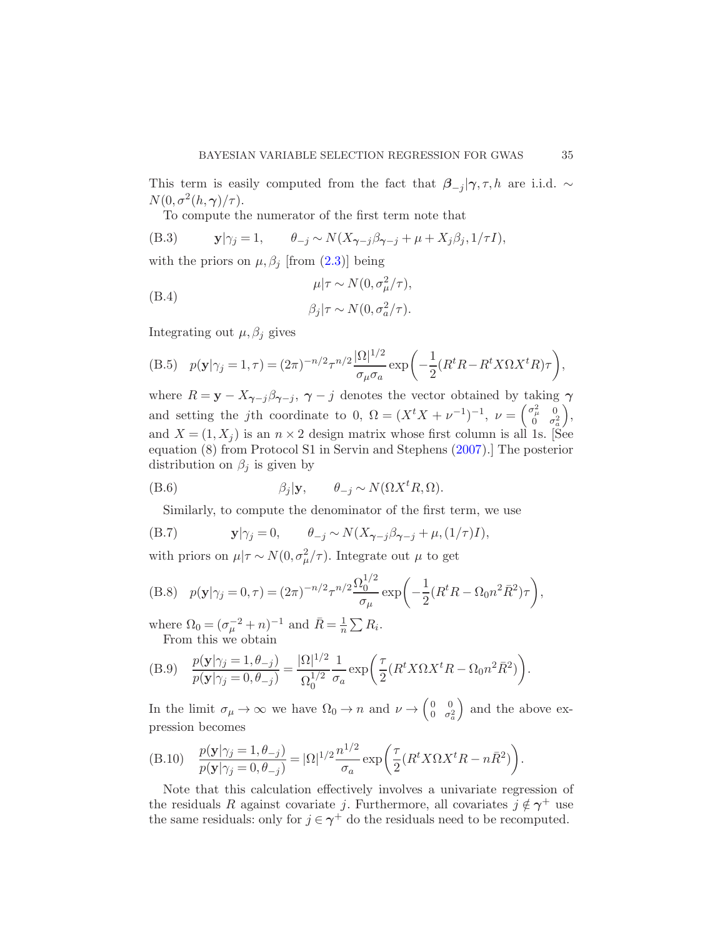This term is easily computed from the fact that  $\beta_{-j}|\gamma,\tau,h$  are i.i.d. ~  $N(0, \sigma^2(h, \gamma)/\tau).$ 

To compute the numerator of the first term note that

(B.3) 
$$
\mathbf{y}|\gamma_j = 1, \qquad \theta_{-j} \sim N(X_{\gamma - j}\beta_{\gamma - j} + \mu + X_j\beta_j, 1/\tau I),
$$

with the priors on  $\mu$ ,  $\beta_j$  [from [\(2.3\)](#page-4-0)] being

(B.4) 
$$
\mu|\tau \sim N(0, \sigma_{\mu}^{2}/\tau),
$$

$$
\beta_{j}|\tau \sim N(0, \sigma_{a}^{2}/\tau).
$$

Integrating out  $\mu, \beta_j$  gives

(B.5) 
$$
p(\mathbf{y}|\gamma_j = 1, \tau) = (2\pi)^{-n/2} \tau^{n/2} \frac{|\Omega|^{1/2}}{\sigma_\mu \sigma_a} \exp\left(-\frac{1}{2}(R^t R - R^t X \Omega X^t R) \tau\right),
$$

where  $R = y - X_{\gamma-i}\beta_{\gamma-i}, \gamma - j$  denotes the vector obtained by taking  $\gamma$ and setting the jth coordinate to 0,  $\Omega = (X^t X + \nu^{-1})^{-1}, \nu = \begin{pmatrix} \sigma^2_\mu & \sigma^2_\mu & \sigma^2_\mu & \sigma^2_\mu & \sigma^2_\mu & \sigma^2_\mu & \sigma^2_\mu & \sigma^2_\mu & \sigma^2_\mu & \sigma^2_\mu & \sigma^2_\mu & \sigma^2_\mu & \sigma^2_\mu & \sigma^2_\mu & \sigma^2_\mu & \sigma^2_\mu & \sigma^2_\mu & \sigma^2_\mu & \sigma^2_\mu & \sigma^2_\mu & \sigma^2_\mu & \sigma^2_\mu & \sigma^$  $\sigma_a^2$  $\big),$ and  $X = (1, X_j)$  is an  $n \times 2$  design matrix whose first column is all 1s. [See equation (8) from Protocol S1 in Servin and Stephens [\(2007](#page-37-5)).] The posterior distribution on  $\beta_j$  is given by

(B.6) 
$$
\beta_j|\mathbf{y}, \qquad \theta_{-j} \sim N(\Omega X^t R, \Omega).
$$

Similarly, to compute the denominator of the first term, we use

(B.7) 
$$
\mathbf{y}|\gamma_j = 0, \qquad \theta_{-j} \sim N(X_{\gamma - j}\beta_{\gamma - j} + \mu, (1/\tau)I),
$$

with priors on  $\mu | \tau \sim N(0, \sigma^2_{\mu}/\tau)$ . Integrate out  $\mu$  to get

(B.8) 
$$
p(\mathbf{y}|\gamma_j=0,\tau) = (2\pi)^{-n/2} \tau^{n/2} \frac{\Omega_0^{1/2}}{\sigma_\mu} \exp\left(-\frac{1}{2}(R^t R - \Omega_0 n^2 \bar{R}^2)\tau\right),
$$

where  $\Omega_0 = (\sigma_\mu^{-2} + n)^{-1}$  and  $\bar{R} = \frac{1}{n}$  $\frac{1}{n} \sum R_i$ . From this we obtain

(B.9) 
$$
\frac{p(\mathbf{y}|\gamma_j=1,\theta_{-j})}{p(\mathbf{y}|\gamma_j=0,\theta_{-j})} = \frac{|\Omega|^{1/2}}{\Omega_0^{1/2}} \frac{1}{\sigma_a} \exp\left(\frac{\tau}{2}(R^t X \Omega X^t R - \Omega_0 n^2 \bar{R}^2)\right).
$$

In the limit  $\sigma_{\mu} \to \infty$  we have  $\Omega_0 \to n$  and  $\nu \to \begin{pmatrix} 0 \\ 0 \end{pmatrix}$ 0  $\sigma_a^2$  and the above expression becomes

(B.10) 
$$
\frac{p(\mathbf{y}|\gamma_j=1,\theta_{-j})}{p(\mathbf{y}|\gamma_j=0,\theta_{-j})} = |\Omega|^{1/2} \frac{n^{1/2}}{\sigma_a} \exp\left(\frac{\tau}{2}(R^t X \Omega X^t R - n\bar{R}^2)\right).
$$

Note that this calculation effectively involves a univariate regression of the residuals R against covariate j. Furthermore, all covariates  $j \notin \gamma^+$  use the same residuals: only for  $j \in \gamma^+$  do the residuals need to be recomputed.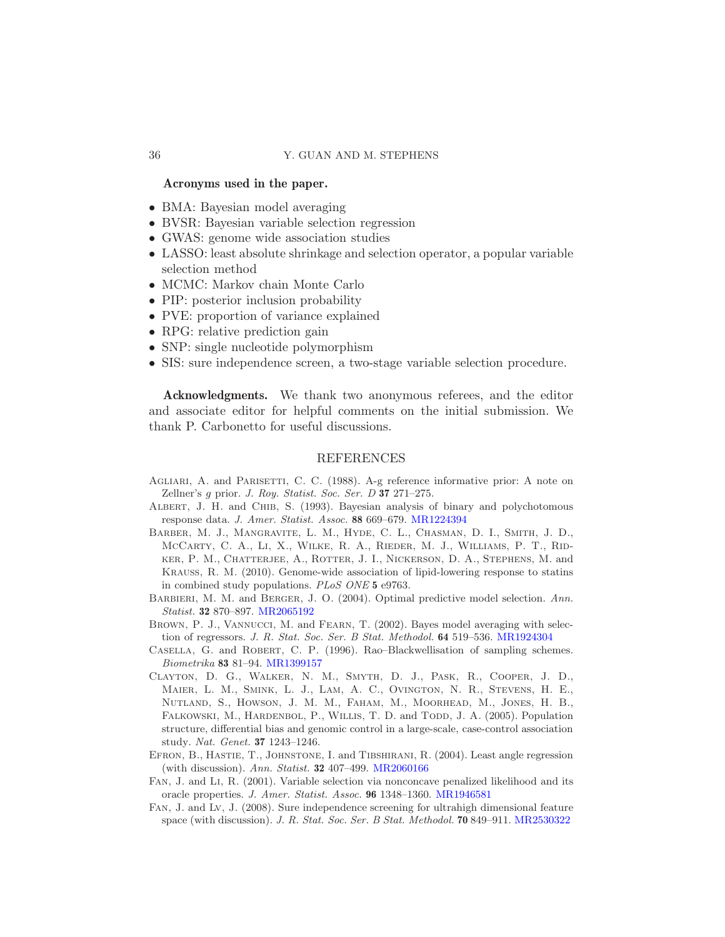#### Acronyms used in the paper.

- BMA: Bayesian model averaging
- BVSR: Bayesian variable selection regression
- GWAS: genome wide association studies
- LASSO: least absolute shrinkage and selection operator, a popular variable selection method
- MCMC: Markov chain Monte Carlo
- PIP: posterior inclusion probability
- PVE: proportion of variance explained
- RPG: relative prediction gain
- SNP: single nucleotide polymorphism
- SIS: sure independence screen, a two-stage variable selection procedure.

Acknowledgments. We thank two anonymous referees, and the editor and associate editor for helpful comments on the initial submission. We thank P. Carbonetto for useful discussions.

#### REFERENCES

- <span id="page-35-1"></span>Agliari, A. and Parisetti, C. C. (1988). A-g reference informative prior: A note on Zellner's g prior. J. Roy. Statist. Soc. Ser. D 37 271–275.
- <span id="page-35-8"></span>ALBERT, J. H. and CHIB, S. (1993). Bayesian analysis of binary and polychotomous response data. J. Amer. Statist. Assoc. 88 669–679. [MR1224394](http://www.ams.org/mathscinet-getitem?mr=1224394)
- <span id="page-35-4"></span>Barber, M. J., Mangravite, L. M., Hyde, C. L., Chasman, D. I., Smith, J. D., McCarty, C. A., Li, X., Wilke, R. A., Rieder, M. J., Williams, P. T., Ridker, P. M., Chatterjee, A., Rotter, J. I., Nickerson, D. A., Stephens, M. and Krauss, R. M. (2010). Genome-wide association of lipid-lowering response to statins in combined study populations. PLoS ONE 5 e9763.
- <span id="page-35-6"></span>BARBIERI, M. M. and BERGER, J. O. (2004). Optimal predictive model selection. Ann. Statist. 32 870–897. [MR2065192](http://www.ams.org/mathscinet-getitem?mr=2065192)
- <span id="page-35-0"></span>Brown, P. J., Vannucci, M. and Fearn, T. (2002). Bayes model averaging with selec-tion of regressors. J. R. Stat. Soc. Ser. B Stat. Methodol. 64 519-536. [MR1924304](http://www.ams.org/mathscinet-getitem?mr=1924304)
- <span id="page-35-3"></span>CASELLA, G. and ROBERT, C. P. (1996). Rao-Blackwellisation of sampling schemes. Biometrika 83 81–94. [MR1399157](http://www.ams.org/mathscinet-getitem?mr=1399157)
- <span id="page-35-9"></span>Clayton, D. G., Walker, N. M., Smyth, D. J., Pask, R., Cooper, J. D., Maier, L. M., Smink, L. J., Lam, A. C., Ovington, N. R., Stevens, H. E., Nutland, S., Howson, J. M. M., Faham, M., Moorhead, M., Jones, H. B., FALKOWSKI, M., HARDENBOL, P., WILLIS, T. D. and TODD, J. A. (2005). Population structure, differential bias and genomic control in a large-scale, case-control association study. Nat. Genet. 37 1243–1246.
- <span id="page-35-5"></span>Efron, B., Hastie, T., Johnstone, I. and Tibshirani, R. (2004). Least angle regression (with discussion). Ann. Statist. 32 407–499. [MR2060166](http://www.ams.org/mathscinet-getitem?mr=2060166)
- <span id="page-35-7"></span>Fan, J. and Li, R. (2001). Variable selection via nonconcave penalized likelihood and its oracle properties. J. Amer. Statist. Assoc. 96 1348–1360. [MR1946581](http://www.ams.org/mathscinet-getitem?mr=1946581)
- <span id="page-35-2"></span>Fan, J. and Lv, J. (2008). Sure independence screening for ultrahigh dimensional feature space (with discussion). J. R. Stat. Soc. Ser. B Stat. Methodol. 70 849–911. [MR2530322](http://www.ams.org/mathscinet-getitem?mr=2530322)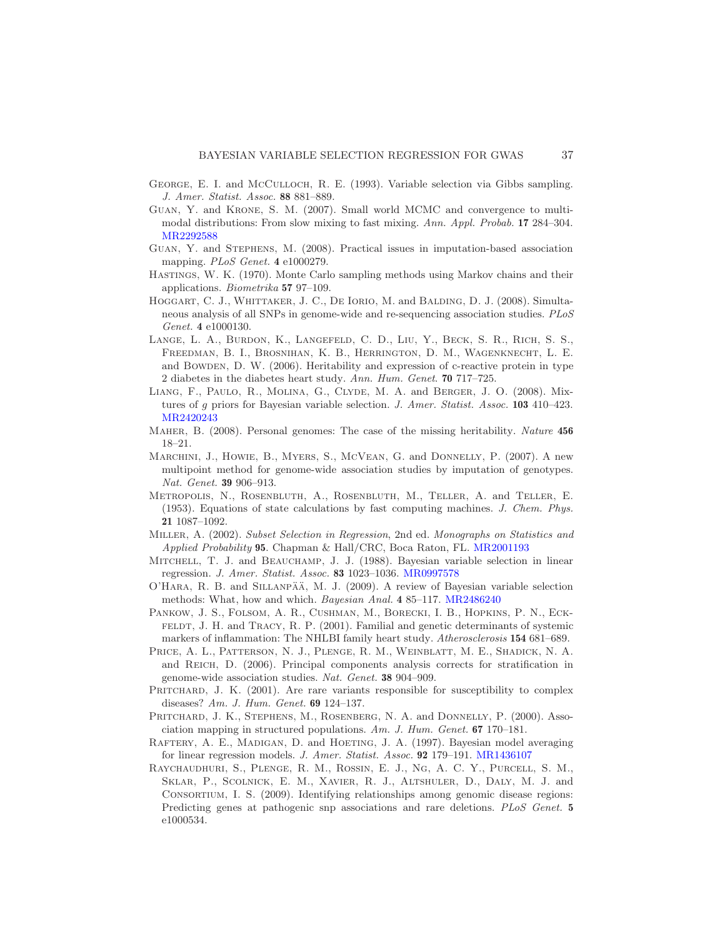- <span id="page-36-3"></span>George, E. I. and McCulloch, R. E. (1993). Variable selection via Gibbs sampling. J. Amer. Statist. Assoc. 88 881–889.
- <span id="page-36-12"></span>Guan, Y. and Krone, S. M. (2007). Small world MCMC and convergence to multimodal distributions: From slow mixing to fast mixing. Ann. Appl. Probab. 17 284–304. [MR2292588](http://www.ams.org/mathscinet-getitem?mr=2292588)
- <span id="page-36-13"></span>Guan, Y. and Stephens, M. (2008). Practical issues in imputation-based association mapping. PLoS Genet. 4 e1000279.
- <span id="page-36-11"></span>Hastings, W. K. (1970). Monte Carlo sampling methods using Markov chains and their applications. Biometrika 57 97–109.
- <span id="page-36-1"></span>HOGGART, C. J., WHITTAKER, J. C., DE IORIO, M. and BALDING, D. J. (2008). Simultaneous analysis of all SNPs in genome-wide and re-sequencing association studies. PLoS Genet. 4 e1000130.
- <span id="page-36-18"></span>Lange, L. A., Burdon, K., Langefeld, C. D., Liu, Y., Beck, S. R., Rich, S. S., Freedman, B. I., Brosnihan, K. B., Herrington, D. M., Wagenknecht, L. E. and Bowden, D. W. (2006). Heritability and expression of c-reactive protein in type 2 diabetes in the diabetes heart study. Ann. Hum. Genet. 70 717–725.
- <span id="page-36-9"></span>Liang, F., Paulo, R., Molina, G., Clyde, M. A. and Berger, J. O. (2008). Mixtures of q priors for Bayesian variable selection. J. Amer. Statist. Assoc. 103 410–423. [MR2420243](http://www.ams.org/mathscinet-getitem?mr=2420243)
- <span id="page-36-0"></span>MAHER, B. (2008). Personal genomes: The case of the missing heritability. Nature 456 18–21.
- <span id="page-36-16"></span>Marchini, J., Howie, B., Myers, S., McVean, G. and Donnelly, P. (2007). A new multipoint method for genome-wide association studies by imputation of genotypes. Nat. Genet. 39 906–913.
- <span id="page-36-10"></span>Metropolis, N., Rosenbluth, A., Rosenbluth, M., Teller, A. and Teller, E. (1953). Equations of state calculations by fast computing machines. J. Chem. Phys. 21 1087–1092.
- <span id="page-36-5"></span>Miller, A. (2002). Subset Selection in Regression, 2nd ed. Monographs on Statistics and Applied Probability 95. Chapman & Hall/CRC, Boca Raton, FL. [MR2001193](http://www.ams.org/mathscinet-getitem?mr=2001193)
- <span id="page-36-2"></span>Mitchell, T. J. and Beauchamp, J. J. (1988). Bayesian variable selection in linear regression. J. Amer. Statist. Assoc. 83 1023–1036. [MR0997578](http://www.ams.org/mathscinet-getitem?mr=0997578)
- <span id="page-36-6"></span> $O'H$ ARA, R. B. and SILLANPÄÄ, M. J.  $(2009)$ . A review of Bayesian variable selection methods: What, how and which. Bayesian Anal. 4 85–117. [MR2486240](http://www.ams.org/mathscinet-getitem?mr=2486240)
- <span id="page-36-17"></span>Pankow, J. S., Folsom, A. R., Cushman, M., Borecki, I. B., Hopkins, P. N., Eck-FELDT, J. H. and TRACY, R. P. (2001). Familial and genetic determinants of systemic markers of inflammation: The NHLBI family heart study. Atherosclerosis 154 681–689.
- <span id="page-36-8"></span>Price, A. L., Patterson, N. J., Plenge, R. M., Weinblatt, M. E., Shadick, N. A. and Reich, D. (2006). Principal components analysis corrects for stratification in genome-wide association studies. Nat. Genet. 38 904–909.
- <span id="page-36-14"></span>PRITCHARD, J. K. (2001). Are rare variants responsible for susceptibility to complex diseases? Am. J. Hum. Genet. 69 124–137.
- <span id="page-36-7"></span>PRITCHARD, J. K., STEPHENS, M., ROSENBERG, N. A. and DONNELLY, P. (2000). Association mapping in structured populations. Am. J. Hum. Genet. 67 170–181.
- <span id="page-36-4"></span>RAFTERY, A. E., MADIGAN, D. and HOETING, J. A. (1997). Bayesian model averaging for linear regression models. J. Amer. Statist. Assoc. 92 179–191. [MR1436107](http://www.ams.org/mathscinet-getitem?mr=1436107)
- <span id="page-36-15"></span>Raychaudhuri, S., Plenge, R. M., Rossin, E. J., Ng, A. C. Y., Purcell, S. M., Sklar, P., Scolnick, E. M., Xavier, R. J., Altshuler, D., Daly, M. J. and Consortium, I. S. (2009). Identifying relationships among genomic disease regions: Predicting genes at pathogenic snp associations and rare deletions. PLoS Genet. 5 e1000534.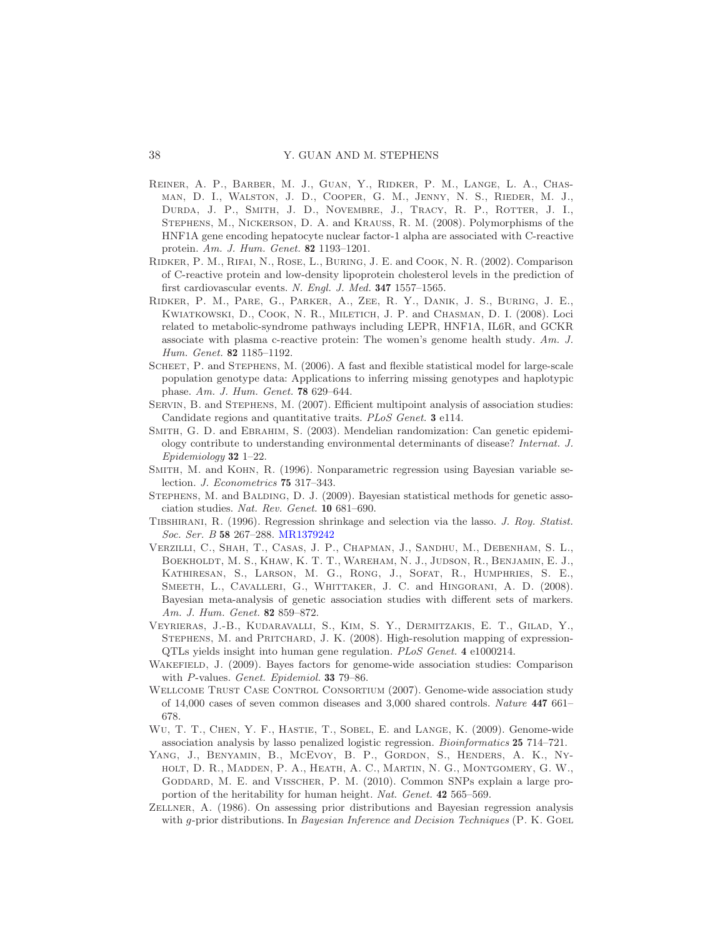- <span id="page-37-9"></span>Reiner, A. P., Barber, M. J., Guan, Y., Ridker, P. M., Lange, L. A., Chasman, D. I., Walston, J. D., Cooper, G. M., Jenny, N. S., Rieder, M. J., Durda, J. P., Smith, J. D., Novembre, J., Tracy, R. P., Rotter, J. I., Stephens, M., Nickerson, D. A. and Krauss, R. M. (2008). Polymorphisms of the HNF1A gene encoding hepatocyte nuclear factor-1 alpha are associated with C-reactive protein. Am. J. Hum. Genet. 82 1193–1201.
- <span id="page-37-12"></span>Ridker, P. M., Rifai, N., Rose, L., Buring, J. E. and Cook, N. R. (2002). Comparison of C-reactive protein and low-density lipoprotein cholesterol levels in the prediction of first cardiovascular events. N. Engl. J. Med. 347 1557–1565.
- <span id="page-37-13"></span>Ridker, P. M., Pare, G., Parker, A., Zee, R. Y., Danik, J. S., Buring, J. E., Kwiatkowski, D., Cook, N. R., Miletich, J. P. and Chasman, D. I. (2008). Loci related to metabolic-syndrome pathways including LEPR, HNF1A, IL6R, and GCKR associate with plasma c-reactive protein: The women's genome health study. Am. J. Hum. Genet. 82 1185–1192.
- <span id="page-37-10"></span>SCHEET, P. and STEPHENS, M. (2006). A fast and flexible statistical model for large-scale population genotype data: Applications to inferring missing genotypes and haplotypic phase. Am. J. Hum. Genet. 78 629–644.
- <span id="page-37-5"></span>Servin, B. and Stephens, M. (2007). Efficient multipoint analysis of association studies: Candidate regions and quantitative traits. PLoS Genet. 3 e114.
- <span id="page-37-6"></span>Smith, G. D. and Ebrahim, S. (2003). Mendelian randomization: Can genetic epidemiology contribute to understanding environmental determinants of disease? Internat. J. Epidemiology 32 1–22.
- <span id="page-37-4"></span>SMITH, M. and KOHN, R. (1996). Nonparametric regression using Bayesian variable selection. J. Econometrics 75 317–343.
- <span id="page-37-11"></span>STEPHENS, M. and BALDING, D. J. (2009). Bayesian statistical methods for genetic association studies. Nat. Rev. Genet. 10 681–690.
- <span id="page-37-1"></span>Tibshirani, R. (1996). Regression shrinkage and selection via the lasso. J. Roy. Statist. Soc. Ser. B 58 267–288. [MR1379242](http://www.ams.org/mathscinet-getitem?mr=1379242)
- <span id="page-37-14"></span>Verzilli, C., Shah, T., Casas, J. P., Chapman, J., Sandhu, M., Debenham, S. L., Boekholdt, M. S., Khaw, K. T. T., Wareham, N. J., Judson, R., Benjamin, E. J., Kathiresan, S., Larson, M. G., Rong, J., Sofat, R., Humphries, S. E., Smeeth, L., Cavalleri, G., Whittaker, J. C. and Hingorani, A. D. (2008). Bayesian meta-analysis of genetic association studies with different sets of markers. Am. J. Hum. Genet. 82 859–872.
- <span id="page-37-15"></span>Veyrieras, J.-B., Kudaravalli, S., Kim, S. Y., Dermitzakis, E. T., Gilad, Y., STEPHENS, M. and PRITCHARD, J. K. (2008). High-resolution mapping of expression-QTLs yields insight into human gene regulation. PLoS Genet. 4 e1000214.
- <span id="page-37-8"></span>Wakefield, J. (2009). Bayes factors for genome-wide association studies: Comparison with P-values. Genet. Epidemiol. 33 79-86.
- <span id="page-37-0"></span>Wellcome Trust Case Control Consortium (2007). Genome-wide association study of 14,000 cases of seven common diseases and 3,000 shared controls. Nature 447 661– 678.
- <span id="page-37-3"></span>WU, T. T., CHEN, Y. F., HASTIE, T., SOBEL, E. and LANGE, K. (2009). Genome-wide association analysis by lasso penalized logistic regression. Bioinformatics 25 714–721.
- <span id="page-37-2"></span>YANG, J., BENYAMIN, B., MCEVOY, B. P., GORDON, S., HENDERS, A. K., NYholt, D. R., Madden, P. A., Heath, A. C., Martin, N. G., Montgomery, G. W., GODDARD, M. E. and VISSCHER, P. M. (2010). Common SNPs explain a large proportion of the heritability for human height. Nat. Genet. 42 565-569.
- <span id="page-37-7"></span>Zellner, A. (1986). On assessing prior distributions and Bayesian regression analysis with g-prior distributions. In *Bayesian Inference and Decision Techniques*  $(P. K. GOEL)$